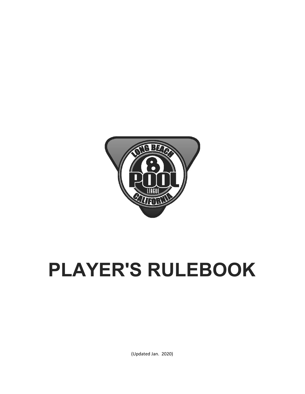

# **PLAYER'S RULEBOOK**

(Updated Jan. 2020)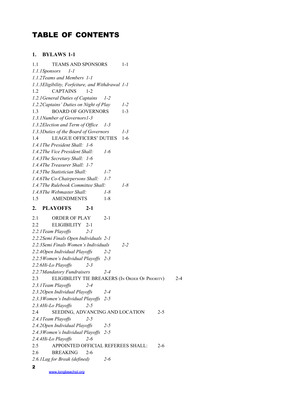# TABLE OF CONTENTS

#### **[1.](#page-5-0) [BYLAWS](#page-5-0) [1-1](#page-5-0)**

[1.1](#page-5-1) TEAMS AND [SPONSORS](#page-5-1) [1-1](#page-5-1) *[1.1.1Sponsors](#page-5-2) [1-1](#page-5-2) [1.1.2](#page-5-3)Teams and [Members](#page-5-3) [1-1](#page-5-3) [1.1.3](#page-5-4)Eligibility, Forfeiture, and [Withdrawal](#page-5-4) [1-1](#page-5-4)* [1.2](#page-5-5) [CAPTAINS](#page-5-5) [1-2](#page-5-5) *[1.2.1](#page-5-6)General Duties of [Captains](#page-5-6) [1-2](#page-5-6) [1.2.2Captains'](#page-6-0) Duties on Night of Play [1-2](#page-6-0)* [1.3](#page-6-1) BOARD OF [GOVERNORS](#page-6-1) [1-3](#page-6-1) *[1.3.1](#page-6-2)Number of [Governors1-3](#page-6-2) [1.3.2Election](#page-6-3) and Term of Of ice [1-3](#page-6-3) [1.3.3](#page-7-0)Duties of the Board of [Governors](#page-7-0) [1-3](#page-7-0)* [1.4](#page-9-0) LEAGUE [OFFICERS'](#page-9-0) DUTIES [1-6](#page-9-0) *[1.4.1](#page-9-1)The [President](#page-9-1) Shall: [1-6](#page-9-1) [1.4.2](#page-9-2)The Vice [President](#page-9-2) Shall: [1-6](#page-9-2) [1.4.3](#page-9-3)The [Secretary](#page-9-3) Shall: [1-6](#page-9-3) [1.4.4](#page-9-4)The [Treasurer](#page-9-4) Shall: [1-7](#page-9-4) [1.4.5](#page-10-0)The [Statistician](#page-10-0) Shall: [1-7](#page-10-0) [1.4.6](#page-10-1)The [Co-Chairpersons](#page-10-1) Shall: [1-7](#page-10-1) [1.4.7](#page-10-2)The Rulebook [Committee](#page-10-2) Shall: [1-8](#page-10-2) [1.4.8](#page-10-3)The [Webmaster](#page-10-3) Shall: [1-8](#page-10-3)* [1.5](#page-11-0) [AMENDMENTS](#page-11-0) [1-8](#page-11-0) **[2.](#page-12-0) [PLAYOFFS](#page-12-0) [2-1](#page-12-0)** [2.1](#page-12-1) [ORDER](#page-12-1) OF PLAY [2-1](#page-12-1) [2.2](#page-12-2) [ELIGIBILITY](#page-12-2) [2-1](#page-12-2) *[2.2.1](#page-12-3)Team [Playof](#page-12-3) s [2-1](#page-12-3) [2.2.2](#page-12-4)Semi Finals Open [Individuals](#page-12-4) [2-1](#page-12-4) [2.2.3](#page-12-5)Semi Finals Women's [Individuals](#page-12-5) [2-2](#page-12-5) [2.2.4](#page-13-0)Open [Individual](#page-13-0) Playof s [2-2](#page-13-0) [2.2.5](#page-13-1)Women's [Individual](#page-13-1) Playof s [2-3](#page-13-1) [2.2.6](#page-14-0)Hi-Lo [Playof](#page-14-0) s [2-3](#page-14-0) [2.2.7](#page-14-1)Mandatory [Fundraisers](#page-14-1) [2-4](#page-14-1)* [2.3](#page-15-0) [ELIGIBILITY](#page-15-0) TIE BREAKERS (IN ORDER OF PRIORITY) [2-4](#page-15-0) *[2.3.1](#page-15-1)Team [Playof](#page-15-1) s [2-4](#page-15-1) [2.3.2](#page-15-2)Open [Individual](#page-15-2) Playof s [2-4](#page-15-2) [2.3.3](#page-15-3)Women's [Individual](#page-15-3) Playof s [2-5](#page-15-3) [2.3.4](#page-15-4)Hi-Lo [Playof](#page-15-4) s [2-5](#page-15-4)* [2.4](#page-15-5) SEEDING, [ADVANCING](#page-15-5) AND LOCATION [2-5](#page-15-5) *[2.4.1](#page-15-6)Team [Playof](#page-15-6) s [2-5](#page-15-6) [2.4.2](#page-15-7)Open [Individual](#page-15-7) Playof s [2-5](#page-15-7) [2.4.3](#page-15-8)Women's [Individual](#page-15-8) Playof s [2-5](#page-15-8) [2.4.4](#page-16-0)Hi-Lo [Playof](#page-16-0) s [2-6](#page-16-0)* [2.5](#page-16-1) [APPOINTED](#page-16-1) OFFICIAL REFEREES SHALL: [2-6](#page-16-1) [2.6](#page-16-2) [BREAKING](#page-16-2) [2-6](#page-16-2) *[2.6.1](#page-16-3)Lag for Break [\(defined\)](#page-16-3) [2-6](#page-16-3)* 2

[www.longbeachpl.org](http://www.lbpoolleague.org/)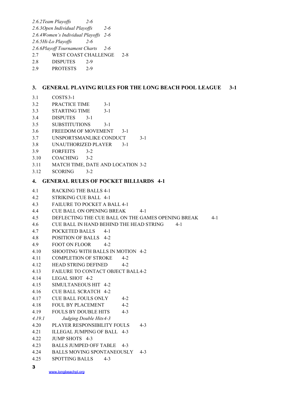*[2.6.2](#page-16-4)Team [Playof](#page-16-4) s [2-6](#page-16-4) [2.6.3](#page-16-5)Open [Individual](#page-16-5) Playof s [2-6](#page-16-5) [2.6.4](#page-16-6)Women's [Individual](#page-16-6) Playof s [2-6](#page-16-6) [2.6.5](#page-16-7)Hi-Lo [Playof](#page-16-7) s [2-6](#page-16-7) [2.6.6](#page-16-8)Playof [Tournament](#page-16-8) Charts [2-6](#page-16-8)* [2.7](#page-18-0) WEST COAST [CHALLENGE](#page-18-0) [2-8](#page-18-0) [2.8](#page-18-1) [DISPUTES](#page-18-1) [2-9](#page-18-1) [2.9](#page-18-2) [PROTESTS](#page-18-2) [2-9](#page-18-2)

#### **[3.](#page-19-0) [GENERAL](#page-19-0) PLAYING RULES FOR THE LONG BEACH POOL LEAGUE [3-1](#page-19-0)**

[3.1](#page-19-1) [COSTS3-1](#page-19-1) [3.2](#page-19-2) [PRACTICE](#page-19-2) TIME [3-1](#page-19-2) [3.3](#page-19-3) [STARTING](#page-19-3) TIME [3-1](#page-19-3) [3.4](#page-19-4) [DISPUTES](#page-19-4) [3-1](#page-19-4) [3.5](#page-19-5) [SUBSTITUTIONS](#page-19-5) [3-1](#page-19-5) [3.6](#page-19-6) FREEDOM OF [MOVEMENT](#page-19-6) [3-1](#page-19-6) [3.7](#page-19-7) [UNSPORTSMANLIKE](#page-19-7) CONDUCT [3-1](#page-19-7) [3.8](#page-19-8) [UNAUTHORIZED](#page-19-8) PLAYER [3-1](#page-19-8) [3.9](#page-20-0) [FORFEITS](#page-20-0) [3-2](#page-20-0) [3.10](#page-20-1) [COACHING](#page-20-1) [3-2](#page-20-1) [3.11](#page-20-2) MATCH TIME, DATE AND [LOCATION](#page-20-2) [3-2](#page-20-2) [3.12](#page-20-3) [SCORING](#page-20-3) [3-2](#page-20-3) **[4.](#page-21-0) GENERAL RULES OF POCKET [BILLIARDS](#page-21-0) [4-1](#page-21-0)** [4.1](#page-21-1) [RACKING](#page-21-1) THE BALLS [4-1](#page-21-1) [4.2](#page-21-2) [STRIKING](#page-21-2) CUE BALL [4-1](#page-21-2) [4.3](#page-21-3) [FAILURE](#page-21-3) TO POCKET A BALL [4-1](#page-21-3) [4.4](#page-21-4) CUE BALL ON [OPENING](#page-21-4) BREAK [4-1](#page-21-4) [4.5](#page-21-5) [DEFLECTING](#page-21-5) THE CUE BALL ON THE GAMES OPENING BREAK [4-1](#page-21-5) [4.6](#page-21-6) CUE BALL IN HAND [BEHIND](#page-21-6) THE HEAD STRING [4-1](#page-21-6) [4.7](#page-22-0) [POCKETED](#page-22-0) BALLS [4-1](#page-22-0) [4.8](#page-22-1) [POSITION](#page-22-1) OF BALLS [4-2](#page-22-1) [4.9](#page-22-2) FOOT ON [FLOOR](#page-22-2) [4-2](#page-22-2) [4.10](#page-22-3) [SHOOTING](#page-22-3) WITH BALLS IN MOTION [4-2](#page-22-3) [4.11](#page-22-4) [COMPLETION](#page-22-4) OF STROKE [4-2](#page-22-4) [4.12](#page-22-5) HEAD STRING [DEFINED](#page-22-5) [4-2](#page-22-5) [4.13](#page-22-6) FAILURE TO [CONTACT](#page-22-6) OBJECT BAL[L4-2](#page-22-6) [4.14](#page-22-7) [LEGAL](#page-22-7) SHOT [4-2](#page-22-7) [4.15](#page-22-8) [SIMULTANEOUS](#page-22-8) HIT [4-2](#page-22-8) [4.16](#page-22-9) CUE BALL [SCRATCH](#page-22-9) [4-2](#page-22-9) [4.17](#page-22-10) CUE BALL [FOULS](#page-22-10) ONLY [4-2](#page-22-10) [4.18](#page-23-0) FOUL BY [PLACEMENT](#page-23-0) [4-2](#page-23-0) [4.19](#page-23-1) FOULS BY [DOUBLE](#page-23-1) HITS [4-3](#page-23-1) *[4.19.1](#page-23-2) [Judging](#page-23-2) Double Hit[s4-3](#page-23-2)* [4.20](#page-23-3) PLAYER [RESPONSIBILITY](#page-23-3) FOULS [4-3](#page-23-3) [4.21](#page-23-4) ILLEGAL [JUMPING](#page-23-4) OF BALL [4-3](#page-23-4) [4.22](#page-23-5) JUMP [SHOTS](#page-23-5) [4-3](#page-23-5) [4.23](#page-23-6) BALLS [JUMPED](#page-23-6) OFF TABLE [4-3](#page-23-6) [4.24](#page-24-0) BALLS MOVING [SPONTANEOUSLY](#page-24-0) [4-3](#page-24-0) [4.25](#page-24-1) [SPOTTING](#page-24-1) BALLS [4-3](#page-24-1)

[www.longbeachpl.org](http://www.lbpoolleague.org/)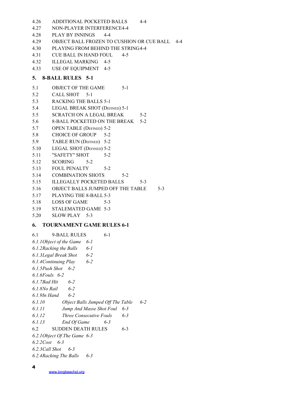- [4.26](#page-24-2) [ADDITIONAL](#page-24-2) POCKETED BALLS [4-4](#page-24-2)
- [4.27](#page-24-3) NON-PLAYER [INTERFERENCE4-4](#page-24-3)
- [4.28](#page-25-0) PLAY BY [INNINGS](#page-25-0) [4-4](#page-25-0)
- [4.29](#page-25-1) OBJECT BALL FROZEN TO [CUSHION](#page-25-1) OR CUE BALL [4-4](#page-25-1)
- [4.30](#page-25-2) [PLAYING](#page-25-2) FROM BEHIND THE STRIN[G4-4](#page-25-2)
- [4.31](#page-25-3) CUE BALL IN [HAND](#page-25-3) FOUL [4-5](#page-25-3)
- [4.32](#page-25-4) ILLEGAL [MARKING](#page-25-4) [4-5](#page-25-4)
- [4.33](#page-25-5) USE OF [EQUIPMENT](#page-25-5) [4-5](#page-25-5)

#### **[5.](#page-26-0) [8-BALL](#page-26-0) RULES [5-1](#page-26-0)**

[5.1](#page-26-1) [OBJECT](#page-26-1) OF THE GAME [5-1](#page-26-1) [5.2](#page-26-2) [CALL](#page-26-2) SHOT [5-1](#page-26-2) [5.3](#page-26-3) [RACKING](#page-26-3) THE BALLS [5-1](#page-26-3) [5.4](#page-26-4) LEGAL [BREAK](#page-26-4) SHOT (DEFINED) [5-1](#page-26-4) [5.5](#page-27-0) [SCRATCH](#page-27-0) ON A LEGAL BREAK [5-2](#page-27-0) [5.6](#page-27-1) 8-BALL [POCKETED](#page-27-1) ON THE BREAK [5-2](#page-27-1) [5.7](#page-27-2) OPEN [TABLE](#page-27-2) (DEFINED) [5-2](#page-27-2) [5.8](#page-27-3) [CHOICE](#page-27-3) OF GROUP [5-2](#page-27-3) [5.9](#page-27-4) [TABLE](#page-27-4) RUN (DEFINED) [5-2](#page-27-4) [5.10](#page-27-5) [LEGAL](#page-27-5) SHOT (DEFINED) [5-2](#page-27-5) [5.11](#page-27-6) ["SAFETY"](#page-27-6) SHOT [5-2](#page-27-6) [5.12](#page-27-7) [SCORING](#page-27-7) [5-2](#page-27-7) [5.13](#page-28-0) FOUL [PENALTY](#page-28-0) [5-2](#page-28-0) [5.14](#page-28-1) [COMBINATION](#page-28-1) SHOTS [5-2](#page-28-1) [5.15](#page-28-2) [ILLEGALLY](#page-28-2) POCKETED BALLS [5-3](#page-28-2) [5.16](#page-28-3) OBJECT BALLS [JUMPED](#page-28-3) OFF THE TABLE [5-3](#page-28-3) [5.17](#page-28-4) [PLAYING](#page-28-4) THE 8-BALL [5-3](#page-28-4) [5.18](#page-28-5) LOSS OF [GAME](#page-28-5) [5-3](#page-28-5) [5.19](#page-28-6) [STALEMATED](#page-28-6) GAME [5-3](#page-28-6) [5.20](#page-28-7) [SLOW](#page-28-7) PLAY [5-3](#page-28-7)

#### **[6.](#page-30-0) [TOURNAMENT](#page-30-0) GAME RULES [6-1](#page-30-0)**

[6.1](#page-30-1) [9-BALL](#page-30-1) RULES [6-1](#page-30-1) *[6.1.1Object](#page-30-2) of the Game [6-1](#page-30-2) [6.1.2Racking](#page-30-3) the Balls [6-1](#page-30-3) [6.1.3](#page-30-4)Legal [Break](#page-30-4) Shot [6-2](#page-30-4) [6.1.4Continuing](#page-31-0) Play [6-2](#page-31-0) [6.1.5Push](#page-31-1) Shot [6-2](#page-31-1) [6.1.6Fouls](#page-31-2) [6-2](#page-31-2) [6.1.7Bad](#page-31-3) Hit [6-2](#page-31-3) [6.1.8](#page-31-4)No [Rail](#page-31-4) [6-2](#page-31-4) [6.1.9](#page-31-5)In [Hand](#page-31-5) [6-2](#page-31-5) [6.1.10](#page-31-6) Object Balls [Jumped](#page-31-6) Of The Table [6-2](#page-31-6) [6.1.11](#page-32-0) Jump And [Masse](#page-32-0) Shot Foul [6-3](#page-32-0) [6.1.12](#page-32-1) Three [Consecutive](#page-32-1) Fouls [6-3](#page-32-1) [6.1.13](#page-32-2) End Of [Game](#page-32-2) [6-3](#page-32-2)* [6.2](#page-32-3) [SUDDEN](#page-32-3) DEATH RULES [6-3](#page-32-3) *[6.2.1Object](#page-32-4) Of The Game [6-3](#page-32-4) [6.2.2Cost](#page-32-5) [6-3](#page-32-5) [6.2.3Call](#page-32-6) Shot [6-3](#page-32-6) [6.2.4Racking](#page-32-7) The Balls [6-3](#page-32-7)*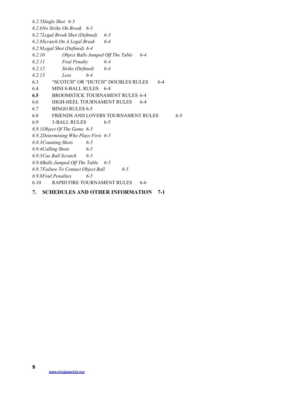*[6.2.5Single](#page-32-8) Shot [6-3](#page-32-8) [6.2.6](#page-32-9)No Strike On [Break](#page-32-9) [6-3](#page-32-9) [6.2.7](#page-33-0)Legal Break Shot [\(Defined\)](#page-33-0) [6-3](#page-33-0) [6.2.8Scratch](#page-33-1) On A Legal Break [6-4](#page-33-1) [6.2.9](#page-33-2)Legal Shot [\(Defined\)](#page-33-2) [6-4](#page-33-2) [6.2.10](#page-33-3) Object Balls [Jumped](#page-33-3) Of The Table [6-4](#page-33-3) [6.2.11](#page-33-4) Foul [Penalty](#page-33-4) [6-4](#page-33-4) [6.2.12](#page-33-5) Strike [\(Defined\)](#page-33-5) [6-4](#page-33-5) [6.2.13](#page-33-6) [Loss](#page-33-6) [6-4](#page-33-6)* [6.3](#page-33-7) ["SCOTCH"](#page-33-7) OR "DUTCH" DOUBLES RULES [6-4](#page-33-7) [6.4](#page-33-8) MINI [8-BALL](#page-33-8) RULES [6-4](#page-33-8) **[6.5](#page-33-9)** BROOMSTICK [TOURNAMENT](#page-33-9) RULES [6-4](#page-33-9) [6.6](#page-34-0) HIGH-HEEL [TOURNAMENT](#page-34-0) RULES [6-4](#page-34-0) [6.7](#page-34-1) [BINGO](#page-34-1) RULES [6-5](#page-34-1) [6.8](#page-34-2) FRIENDS AND LOVERS [TOURNAMENT](#page-34-2) RULES [6-5](#page-34-2) [6.9](#page-34-3) [3-BALL](#page-34-3) RULES [6-5](#page-34-3) *[6.9.1Object](#page-34-4) Of The Game [6-5](#page-34-4) [6.9.2Determining](#page-34-5) Who Plays First [6-5](#page-34-5) [6.9.3Counting](#page-34-6) Shots [6-5](#page-34-6) [6.9.4Calling](#page-34-7) Shots [6-5](#page-34-7) [6.9.5](#page-34-8)Cue Ball [Scratch](#page-34-8) [6-5](#page-34-8) [6.9.6](#page-34-9)Balls [Jumped](#page-34-9) Of The Table [6-5](#page-34-9) [6.9.7](#page-35-0)Failure To [Contact](#page-35-0) Object Ball [6-5](#page-35-0) [6.9.8](#page-35-1)Foul [Penalties](#page-35-1) [6-5](#page-35-1)* [6.10](#page-35-2) RAPID FIRE [TOURNAMENT](#page-35-2) RULES [6-6](#page-35-2)

#### **7. SCHEDULES AND OTHER INFORMATION 7-1**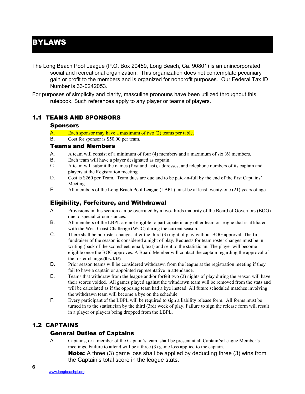# <span id="page-5-0"></span>BYLAWS

The Long Beach Pool League (P.O. Box 20459, Long Beach, Ca. 90801) is an unincorporated social and recreational organization. This organization does not contemplate pecuniary gain or profit to the members and is organized for nonprofit purposes. Our Federal Tax ID Number is 33-0242053.

For purposes of simplicity and clarity, masculine pronouns have been utilized throughout this rulebook. Such references apply to any player or teams of players.

# <span id="page-5-2"></span><span id="page-5-1"></span>1.1 TEAMS AND SPONSORS

#### Sponsors

A. Each sponsor may have a maximum of two (2) teams per table.

B. Cost for sponsor is \$50.00 per team.

#### <span id="page-5-3"></span>Teams and Members

- A. A team will consist of a minimum of four (4) members and a maximum of six (6) members.
- B. Each team will have a player designated as captain.
- C. A team will submit the names (first and last), addresses, and telephone numbers of its captain and players at the Registration meeting.
- D. Cost is \$260 per Team. Team dues are due and to be paid-in-full by the end of the first Captains' Meeting.
- E. All members of the Long Beach Pool League (LBPL) must be at least twenty-one (21) years of age.

#### <span id="page-5-4"></span>Eligibility, Forfeiture, and Withdrawal

- A. Provisions in this section can be overruled by a two-thirds majority of the Board of Governors (BOG) due to special circumstances.
- B. All members of the LBPL are not eligible to participate in any other team or league that is affiliated with the West Coast Challenge (WCC) during the current season.
- C. There shall be no roster changes after the third (3) night of play without BOG approval. The first fundraiser of the season is considered a night of play. Requests for team roster changes must be in writing (back of the scoresheet, email, text) and sent to the statistician. The player will become eligible once the BOG approves. A Board Member will contact the captain regarding the approval of the roster change.**(Rev.1/16)**
- D. Prior season teams will be considered withdrawn from the league at the registration meeting if they fail to have a captain or appointed representative in attendance.
- E. Teams that withdraw from the league and/or forfeit two (2) nights of play during the season will have their scores voided. All games played against the withdrawn team will be removed from the stats and will be calculated as if the opposing team had a bye instead. All future scheduled matches involving the withdrawn team will become a bye on the schedule.
- F. Every participant of the LBPL will be required to sign a liability release form. All forms must be turned in to the statistician by the third (3rd) week of play. Failure to sign the release form will result in a player or players being dropped from the LBPL.

#### <span id="page-5-6"></span><span id="page-5-5"></span>1.2 CAPTAINS

# General Duties of Captains

A. Captains, or a member of the Captain's team, shall be present at all Captain's/League Member's meetings. Failure to attend will be a three (3) game loss applied to the captain.

**Note:** A three (3) game loss shall be applied by deducting three (3) wins from the Captain's total score in the league stats.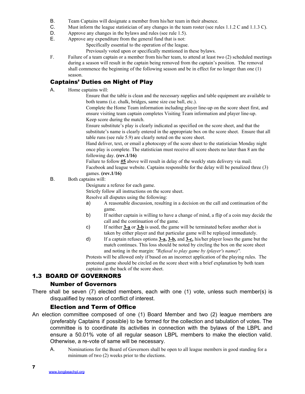- B. Team Captains will designate a member from his/her team in their absence.
- C. Must inform the league statistician of any changes in the team roster (see rules 1.1.2 C and 1.1.3 C).
- D. Approve any changes in the bylaws and rules (see rule 1.5).
- E. Approve any expenditure from the general fund that is not:

Specifically essential to the operation of the league.

Previously voted upon or specifically mentioned in these bylaws.

F. Failure of a team captain or a member from his/her team, to attend at least two (2) scheduled meetings during a season will result in the captain being removed from the captain's position. The removal shall commence the beginning of the following season and be in effect for no longer than one (1) season.

# <span id="page-6-0"></span>Captains' Duties on Night of Play

A. Home captains will:

Ensure that the table is clean and the necessary supplies and table equipment are available to both teams (i.e. chalk, bridges, same size cue ball, etc.).

Complete the Home Team information including player line-up on the score sheet first, and ensure visiting team captain completes Visiting Team information and player line-up. Keep score during the match.

Ensure substitute's play is clearly indicated as specified on the score sheet, and that the substitute's name is clearly entered in the appropriate box on the score sheet. Ensure that all table runs (see rule 5.9) are clearly noted on the score sheet.

Hand deliver, text, or email a photocopy of the score sheet to the statistician Monday night once play is complete. The statistician must receive all score sheets no later than 8 am the following day. **(rev.1/16)**

Failure to follow **#5** above will result in delay of the weekly stats delivery via mail. Facebook and league website. Captains responsible for the delay will be penalized three (3) games. **(rev.1/16)**

B. Both captains will:

Designate a referee for each game.

Strictly follow all instructions on the score sheet.

Resolve all disputes using the following:

- a) A reasonable discussion, resulting in a decision on the call and continuation of the game.
- b) If neither captain is willing to have a change of mind, a flip of a coin may decide the call and the continuation of the game.
- c) If neither **3-a** or **3-b** is used, the game will be terminated before another shot is taken by either player and that particular game will be replayed immediately.
- d) If a captain refuses options **3-a, 3-b,** and **3-c,** his/her player loses the game but the match continues. This loss should be noted by circling the box on the score sheet and noting in the margin: *"Refusal to play game by (player's name)".*

Protests will be allowed only if based on an incorrect application of the playing rules. The protested game should be circled on the score sheet with a brief explanation by both team captains on the back of the score sheet.

# <span id="page-6-2"></span><span id="page-6-1"></span>1.3 BOARD OF GOVERNORS

#### Number of Governors

There shall be seven (7) elected members, each with one (1) vote, unless such member(s) is disqualified by reason of conflict of interest.

# Election and Term of Office

- <span id="page-6-3"></span>An election committee composed of one (1) Board Member and two (2) league members are (preferably Captains if possible) to be formed for the collection and tabulation of votes. The committee is to coordinate its activities in connection with the bylaws of the LBPL and ensure a 50.01% vote of all regular season LBPL members to make the election valid. Otherwise, a re-vote of same will be necessary.
	- A. Nominations for the Board of Governors shall be open to all league members in good standing for a minimum of two (2) weeks prior to the elections.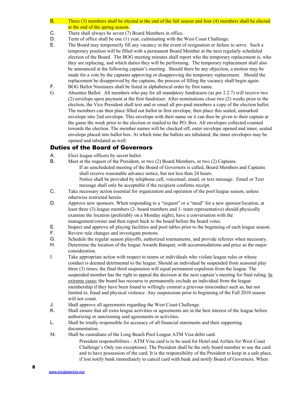- B. Three (3) members shall be elected at the end of the fall season and four (4) members shall be elected at the end of the spring season.
- C. There shall always be seven (7) Board Members in office.
- D. Term of office shall be one (1) year, culminating with the West Coast Challenge.
- E. The Board may temporarily fill any vacancy in the event of resignation or failure to serve. Such a temporary position will be filled with a permanent Board Member at the next regularly scheduled election of the Board. The BOG meeting minutes shall report who the temporary replacement is, who they are replacing, and which duties they will be performing. The temporary replacement shall also be announced at the following captain's meeting. Should there be any objection, a motion may be made for a vote by the captains approving or disapproving the temporary replacement. Should the replacement be disapproved by the captains, the process of filling the vacancy shall begin again.
- F. BOG Ballot Nominees shall be listed in alphabetical order by first name.
- G. Absentee Ballot: All members who pay for all mandatory fundraisers (as per 2.2.7) will receive two (2) envelops upon payment at the first fundraiser. After nominations close two (2) weeks prior to the election, the Vice President shall text and or email all pre-paid members a copy of the election ballot. The members can then place filled out ballot in first envelope, then place this sealed, unmarked envelope into 2nd envelope. This envelope with their name on it can then be given to their captain at the game the week prior to the election or mailed to the PO. Box. All envelopes collected counted towards the election. The member names will be checked off, outer envelope opened and inner, sealed envelope placed into ballot box. At which time the ballots are tabulated, the inner envelopes may be opened and tabulated as well.

# <span id="page-7-0"></span>Duties of the Board of Governors

- A. Elect league officers by secret ballot.
- B. Meet at the request of the President, or two (2) Board Members, or two (2) Captains. If an unscheduled meeting of the Board of Governors is called, Board Members and Captains shall receive reasonable advance notice, but not less than 24 hours. Notice shall be provided by telephone call, voicemail, email, or text message. Email or Text message shall only be acceptable if the recipient confirms receipt.
- C. Take necessary action essential for organization and operation of the pool league season, unless otherwise restricted herein.
- D. Approve new sponsors. When responding to a "request" or a "need" for a new sponsor/location, at least three (3) league members (2- board members and 1- team representative) should physically examine the location (preferably on a Monday night), have a conversation with the management/owner and then report back to the board before the board votes.
- E. Inspect and approve all playing facilities and pool tables prior to the beginning of each league season.
- F. Review rule changes and investigate protests.
- G. Schedule the regular season playoffs, authorized tournaments, and provide referees when necessary.
- H. Determine the location of the league Awards Banquet, with accommodations and price as the major consideration.
- I. Take appropriate action with respect to teams or individuals who violate league rules or whose conduct is deemed detrimental to the league. Should an individual be suspended from seasonal play three (3) times, the final third suspension will equal permanent expulsion from the league. The suspended member has the right to appeal the decision at the next captain's meeting for final ruling. In extreme cases: the board has recourse to permanently exclude an individual from the league membership if they have been found to willingly commit a grievous misconduct such as, but not limited to, fraud and physical violence. Any suspensions prior to beginning of the Fall 2010 season will not count.
- J. Shall approve all agreements regarding the West Coast Challenge.
- K. Shall ensure that all extra league activities or agreements are in the best interest of the league before authorizing or sanctioning said agreements or activities.
- L. Shall be totally responsible for accuracy of all financial statements and their supporting documentation.
- M. Shall be custodians of the Long Beach Pool League ATM Visa debit card.

President responsibilities - ATM Visa card is to be used for Hotel and Airfare for West Coast Challenge's Only (no exceptions). The President shall be the only board member to use the card and to have possession of the card. It is the responsibility of the President to keep in a safe place, if lost notify bank immediately to cancel card with bank and notify Board of Governors. When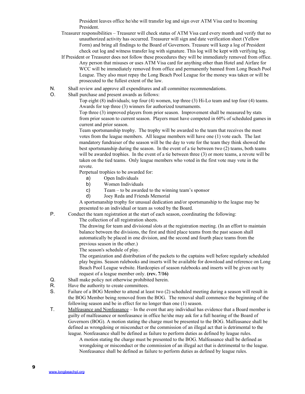President leaves office he/she will transfer log and sign over ATM Visa card to Incoming President.

- Treasurer responsibilities Treasurer will check status of ATM Visa card every month and verify that no unauthorized activity has occurred. Treasurer will sign and date verification sheet (Yellow Form) and bring all findings to the Board of Governors. Treasure will keep a log of President check out log and witness transfer log with signature. This log will be kept with verifying log.
- If President or Treasurer does not follow these procedures they will be immediately removed from office. Any person that misuses or uses ATM Visa card for anything other than Hotel and Airfare for WCC will be immediately removed from office and permanently banned from Long Beach Pool League. They also must repay the Long Beach Pool League for the money was taken or will be prosecuted to the fullest extent of the law.
- N. Shall review and approve all expenditures and all committee recommendations.
- O. Shall purchase and present awards as follows:

Top eight (8) individuals; top four (4) women, top three (3) Hi-Lo team and top four (4) teams. Awards for top three (3) winners for authorized tournaments.

Top three (3) improved players from prior season. Improvement shall be measured by stats from prior season to current season. Players must have competed in 60% of scheduled games in current and prior season.

Team sportsmanship trophy. The trophy will be awarded to the team that receives the most votes from the league members. All league members will have one (1) vote each. The last mandatory fundraiser of the season will be the day to vote for the team they think showed the best sportsmanship during the season. In the event of a tie between two (2) teams, both teams will be awarded trophies. In the event of a tie between three (3) or more teams, a revote will be taken on the tied teams. Only league members who voted in the first vote may vote in the revote.

Perpetual trophies to be awarded for:

- a) Open Individuals
- b) Women Individuals
- c) Team to be awarded to the winning team's sponsor
- d) Joey Reda and Friends Memorial

A sportsmanship trophy for unusual dedication and/or sportsmanship to the league may be presented to an individual or team as voted by the Board.

P. Conduct the team registration at the start of each season, coordinating the following:

The collection of all registration sheets.

The drawing for team and divisional slots at the registration meeting. (In an effort to maintain balance between the divisions, the first and third place teams from the past season shall automatically be placed in one division, and the second and fourth place teams from the previous season in the other.)

The season's schedule of play.

The organization and distribution of the packets to the captains well before regularly scheduled play begins. Season rulebooks and inserts will be available for download and reference on Long Beach Pool League website. Hardcopies of season rulebooks and inserts will be given out by request of a league member only. **(rev. 7/16)**

- Q. Shall make policy not otherwise prohibited herein.
- R. Have the authority to create committees.
- S. Failure of a BOG Member to attend at least two (2) scheduled meeting during a season will result in the BOG Member being removed from the BOG. The removal shall commence the beginning of the following season and be in effect for no longer than one (1) season.
- T. Malfeasance and Nonfeasance In the event that any individual has evidence that a Board member is guilty of malfeasance or nonfeasance in office he/she may ask for a full hearing of the Board of Governors (BOG). A motion stating the charge must be presented to the BOG. Malfeasance shall be defined as wrongdoing or misconduct or the commission of an illegal act that is detrimental to the league. Nonfeasance shall be defined as failure to perform duties as defined by league rules.

A motion stating the charge must be presented to the BOG. Malfeasance shall be defined as wrongdoing or misconduct or the commission of an illegal act that is detrimental to the league. Nonfeasance shall be defined as failure to perform duties as defined by league rules.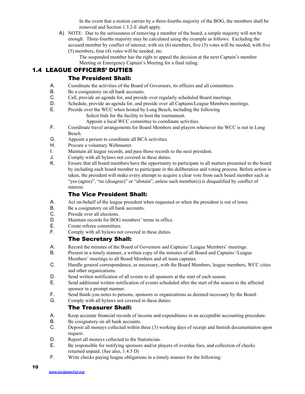In the event that a motion carries by a three-fourths majority of the BOG, the members shall be removed and Section 1.3.2-E shall apply.

A) NOTE: Due to the seriousness of removing a member of the board, a simple majority will not be enough. Three-fourths majority may be calculated using the example as follows: Excluding the accused member by conflict of interest; with six (6) members, five (5) votes will be needed, with five (5) members, four (4) votes will be needed, etc.

The suspended member has the right to appeal the decision at the next Captain's member Meeting or Emergency Captain's Meeting for a final ruling.

# <span id="page-9-1"></span><span id="page-9-0"></span>1.4 LEAGUE OFFICERS' DUTIES

# The President Shall:

- A. Coordinate the activities of the Board of Governors, its officers and all committees.
- B. Be a cosignatory on all bank accounts.
- C. Call, provide an agenda for, and preside over regularly scheduled Board meetings.
- D. Schedule, provide an agenda for, and preside over all Captains/League Members meetings.
- E. Preside over the WCC when hosted by Long Beach, including the following
	- Solicit bids for the facility to host the tournament.

Appoint a local WCC committee to coordinate activities.

- F. Coordinate travel arrangements for Board Members and players whenever the WCC is not in Long Beach.
- G. Appoint a person to coordinate all BCA activities.
- H. Procure a voluntary Webmaster.
- I. Maintain all league records, and pass those records to the next president.
- J. Comply with all bylaws not covered in these duties.
- K. Ensure that all board members have the opportunity to participate in all matters presented to the board by including each board member to participate in the deliberation and voting process. Before action is taken, the president will make every attempt to acquire a clear vote from each board member such as "yes (agree)", "no (disagree)" or "abstain", unless such member(s) is disqualified by conflict of interest.

# The Vice President Shall:

- <span id="page-9-2"></span>A. Act on-behalf of the league president when requested or when the president is out of town.
- B. Be a cosignatory on all bank accounts.
- C. Preside over all elections.
- D. Maintain records for BOG members' terms in office.
- E. Create referee committees.
- <span id="page-9-3"></span>F. Comply with all bylaws not covered in these duties.

#### The Secretary Shall:

- A. Record the minutes of the Board of Governors and Captains'/League Members' meetings.
- B. Present in a timely manner, a written copy of the minutes of all Board and Captains'/League Members' meetings to all Board Members and all team captains.
- C. Handle general correspondence, as necessary, with the Board Members, league members, WCC cities and other organizations.
- D. Send written notification of all events to all sponsors at the start of each season.
- E. Send additional written notification of events scheduled after the start of the season to the affected sponsor in a prompt manner.
- F. Send thank-you notes to persons, sponsors or organizations as deemed necessary by the Board.
- <span id="page-9-4"></span>G. Comply with all bylaws not covered in these duties.

#### The Treasurer Shall:

- A. Keep accurate financial records of income and expenditures in an acceptable accounting procedure.
- B. Be cosignatory on all bank accounts.
- C. Deposit all moneys collected within three (3) working days of receipt and furnish documentation upon request.
- D. Report all moneys collected to the Statistician.
- E. Be responsible for notifying sponsors and/or players of overdue fees, and collection of checks returned unpaid. (See also, 1.4.5 D)
- F. Write checks paying league obligations in a timely manner for the following: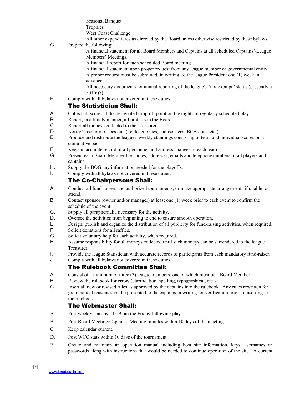Seasonal Banquet

**Trophies** 

West Coast Challenge

All other expenditures as directed by the Board unless otherwise restricted by these bylaws.

G. Prepare the following:

A financial statement for all Board Members and Captains at all scheduled Captains'/League Members' Meetings.

A financial report for each scheduled Board meeting.

A financial statement upon proper request from any league member or governmental entity. A proper request must be submitted, in writing, to the league President one (1) week in advance.

All necessary documents for annual reporting of the league's "tax-exempt" status (presently a 501(c)7).

<span id="page-10-0"></span>H. Comply with all bylaws not covered in these duties.

# The Statistician Shall:

- A. Collect all scores at the designated drop-off point on the nights of regularly scheduled play.
- B. Report, in a timely manner, all protests to the Board.
- C. Report all moneys collected to the Treasurer.
- D. Notify Treasurer of fees due (i.e. league fees, sponsor fees, BCA dues, etc.)
- E. Produce and distribute the league's weekly standings consisting of team and individual scores on a cumulative basis.
- F. Keep an accurate record of all personnel and address changes of each team.
- G. Present each Board Member the names, addresses, emails and telephone numbers of all players and captains.
- H. Supply the BOG any information needed for the playoffs.
- <span id="page-10-1"></span>I. Comply with all bylaws not covered in these duties.

# The Co-Chairpersons Shall:

- A. Conduct all fund-raisers and authorized tournaments, or make appropriate arrangements if unable to attend.
- B. Contact sponsor (owner and/or manager) at least one (1) week prior to each event to confirm the schedule of the event.
- C. Supply all paraphernalia necessary for the activity.
- D. Oversee the activities from beginning to end to ensure smooth operation.
- E. Design, publish and organize the distribution of all publicity for fund-raising activities, when required.
- F. Solicit donations for all raffles.
- G. Solicit voluntary help for each activity, when required.
- H. Assume responsibility for all moneys collected until such moneys can be surrendered to the league Treasurer.
- I. Provide the league Statistician with accurate records of participants from each mandatory fund-raiser.
- <span id="page-10-2"></span>J. Comply with all bylaws not covered in these duties.

# The Rulebook Committee Shall:

- A. Consist of a minimum of three (3) league members, one of which must be a Board Member.
- B. Review the rulebook for errors (clarification, spelling, typographical, etc.).
- C. Insert all new or revised rules as approved by the captains into the rulebook. Any rules rewritten for grammatical reasons shall be presented to the captains in writing for verification prior to inserting in the rulebook.

# The Webmaster Shall:

- <span id="page-10-3"></span>A. Post weekly stats by 11:59 pm the Friday following play.
- B. Post Board Meeting/Captains' Meeting minutes within 10 days of the meeting.
- C. Keep calendar current.
- D. Post WCC stats within 10 days of the tournament.
- E. Create and maintain an operation manual including host site information, keys, usernames or passwords along with instructions that would be needed to continue operation of the site. A current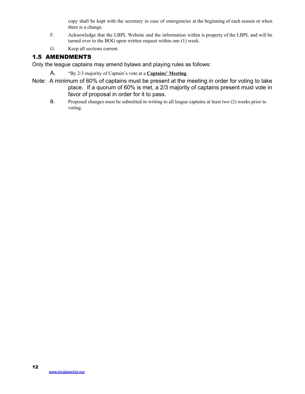copy shall be kept with the secretary in case of emergencies at the beginning of each season or when there is a change.

- F. Acknowledge that the LBPL Website and the information within is property of the LBPL and will be turned over to the BOG upon written request within one (1) week.
- G. Keep all sections current.

# <span id="page-11-0"></span>1.5 AMENDMENTS

Only the league captains may amend bylaws and playing rules as follows:

- A. "By 2/3 majority of Captain's vote at a **Captains' Meeting**.
- Note: A minimum of 60% of captains must be present at the meeting in order for voting to take place. If a quorum of 60% is met, a 2/3 majority of captains present must vote in favor of proposal in order for it to pass.
	- B. Proposed changes must be submitted in writing to all league captains at least two (2) weeks prior to voting.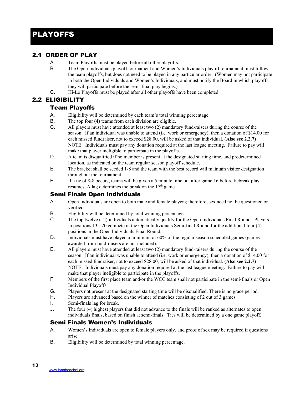# <span id="page-12-0"></span>PLAYOFFS

# <span id="page-12-1"></span>2.1 ORDER OF PLAY

- A. Team Playoffs must be played before all other playoffs.
- B. The Open Individuals playoff tournament and Women's Individuals playoff tournament must follow the team playoffs, but does not need to be played in any particular order. (Women may not participate in both the Open Individuals and Women's Individuals, and must notify the Board in which playoffs they will participate before the semi-final play begins.)
- C. Hi-Lo Playoffs must be played after all other playoffs have been completed.

# <span id="page-12-3"></span><span id="page-12-2"></span>2.2 ELIGIBILITY

# Team Playoffs

- A. Eligibility will be determined by each team's total winning percentage.
- B. The top four (4) teams from each division are eligible.
- C. All players must have attended at least two (2) mandatory fund-raisers during the course of the season. If an individual was unable to attend (i.e. work or emergency), then a donation of \$14.00 for each missed fundraiser, not to exceed \$28.00, will be asked of that individual. **(Also see 2.2.7)** NOTE: Individuals must pay any donation required at the last league meeting. Failure to pay will make that player ineligible to participate in the playoffs.
- D. A team is disqualified if no member is present at the designated starting time, and predetermined location, as indicated on the team regular season playoff schedule.
- E. The bracket shall be seeded 1-8 and the team with the best record will maintain visitor designation throughout the tournament.
- F. If a tie of 8-8 occurs, teams will be given a 5 minute time out after game 16 before tiebreak play resumes. A lag determines the break on the  $17<sup>th</sup>$  game.

# <span id="page-12-4"></span>Semi Finals Open Individuals

- A. Open Individuals are open to both male and female players; therefore, sex need not be questioned or verified.
- B. Eligibility will be determined by total winning percentage.
- C. The top twelve (12) individuals automatically qualify for the Open Individuals Final Round. Players in positions 13 - 20 compete in the Open Individuals Semi-final Round for the additional four (4) positions in the Open Individuals Final Round.
- D. Individuals must have played a minimum of 60% of the regular season scheduled games (games awarded from fund-raisers are not included).
- E. All players must have attended at least two (2) mandatory fund-raisers during the course of the season. If an individual was unable to attend (i.e. work or emergency), then a donation of \$14.00 for each missed fundraiser, not to exceed \$28.00, will be asked of that individual. **(Also see 2.2.7)** NOTE: Individuals must pay any donation required at the last league meeting. Failure to pay will make that player ineligible to participate in the playoffs.
- F. Members of the first place team and/or the WCC team shall not participate in the semi-finals or Open Individual Playoffs.
- G. Players not present at the designated starting time will be disqualified. There is no grace period.
- H. Players are advanced based on the winner of matches consisting of 2 out of 3 games.
- I. Semi-finals lag for break.
- J. The four (4) highest players that did not advance to the finals will be ranked as alternates to open individuals finals, based on finish at semi-finals. Ties will be determined by a one game playoff.

# <span id="page-12-5"></span>Semi Finals Women's Individuals

- A. Women's Individuals are open to female players only, and proof of sex may be required if questions arise.
- B. Eligibility will be determined by total winning percentage.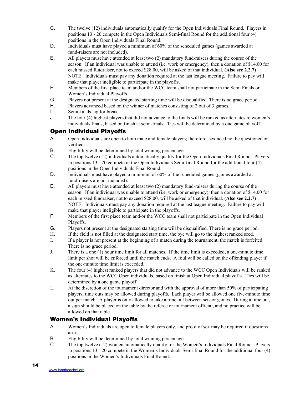- C. The twelve (12) individuals automatically qualify for the Open Individuals Final Round. Players in positions 13 - 20 compete in the Open Individuals Semi-final Round for the additional four (4) positions in the Open Individuals Final Round.
- D. Individuals must have played a minimum of 60% of the scheduled games (games awarded at fund-raisers are not included).
- E. All players must have attended at least two (2) mandatory fund-raisers during the course of the season. If an individual was unable to attend (i.e. work or emergency), then a donation of \$14.00 for each missed fundraiser, not to exceed \$28.00, will be asked of that individual. **(Also see 2.2.7)** NOTE: Individuals must pay any donation required at the last league meeting. Failure to pay will make that player ineligible to participate in the playoffs.
- F. Members of the first place team and/or the WCC team shall not participate in the Semi Finals or Women's Individual Playoffs.
- G. Players not present at the designated starting time will be disqualified. There is no grace period.
- H. Players advanced based on the winner of matches consisting of 2 out of 3 games.
- I. Semi-finals lag for break.
- J. The four (4) highest players that did not advance to the finals will be ranked as alternates to women's individuals finals, based on finish at semi-finals. Ties will be determined by a one game playoff.

# <span id="page-13-0"></span>Open Individual Playoffs

- A. Open Individuals are open to both male and female players; therefore, sex need not be questioned or verified.
- B. Eligibility will be determined by total winning percentage.
- C. The top twelve (12) individuals automatically qualify for the Open Individuals Final Round. Players in positions 13 - 20 compete in the Open Individuals Semi-final Round for the additional four (4) positions in the Open Individuals Final Round.
- D. Individuals must have played a minimum of 60% of the scheduled games (games awarded at fund-raisers are not included).
- E. All players must have attended at least two (2) mandatory fund-raisers during the course of the season. If an individual was unable to attend (i.e. work or emergency), then a donation of \$14.00 for each missed fundraiser, not to exceed \$28.00, will be asked of that individual. **(Also see 2.2.7)** NOTE: Individuals must pay any donation required at the last league meeting. Failure to pay will make that player ineligible to participate in the playoffs.
- F. Members of the first place team and/or the WCC team shall not participate in the Open Individual Playoffs.
- G. Players not present at the designated starting time will be disqualified. There is no grace period.
- H. If the field is not filled at the designated start time, the bye will go to the highest ranked seed.
- I. If a player is not present at the beginning of a match during the tournament, the match is forfeited. There is no grace period.
- J. There is a one (1) hour time limit for all matches. If the time limit is exceeded, a one-minute time limit per shot will be enforced until the match ends. A foul will be called on the offending player if the one-minute time limit is exceeded.
- K. The four (4) highest ranked players that did not advance to the WCC Open Individuals will be ranked as alternates to the WCC Open individuals, based on finish at Open Individual playoffs. Ties will be determined by a one game playoff.
- L. At the discretion of the tournament director and with the approval of more than 50% of participating players, time outs may be allowed during playoffs. Each player will be allowed one five-minute time out per match. A player is only allowed to take a time out between sets or games. During a time out, a sign should be placed on the table by the referee or tournament official, and no practice will be allowed on that table.

#### <span id="page-13-1"></span>Women's Individual Playoffs

- A. Women's Individuals are open to female players only, and proof of sex may be required if questions arise.
- B. Eligibility will be determined by total winning percentage.
- C. The top twelve (12) women automatically qualify for the Women's Individuals Final Round. Players in positions 13 - 20 compete in the Women's Individuals Semi-final Round for the additional four (4) positions in the Women's Individuals Final Round.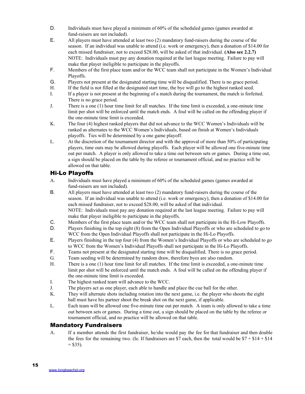- D. Individuals must have played a minimum of 60% of the scheduled games (games awarded at fund-raisers are not included).
- E. All players must have attended at least two (2) mandatory fund-raisers during the course of the season. If an individual was unable to attend (i.e. work or emergency), then a donation of \$14.00 for each missed fundraiser, not to exceed \$28.00, will be asked of that individual. **(Also see 2.2.7)** NOTE: Individuals must pay any donation required at the last league meeting. Failure to pay will make that player ineligible to participate in the playoffs.
- F. Members of the first place team and/or the WCC team shall not participate in the Women's Individual Playoffs.
- G. Players not present at the designated starting time will be disqualified. There is no grace period.
- H. If the field is not filled at the designated start time, the bye will go to the highest ranked seed.
- I. If a player is not present at the beginning of a match during the tournament, the match is forfeited. There is no grace period.
- J. There is a one (1) hour time limit for all matches. If the time limit is exceeded, a one-minute time limit per shot will be enforced until the match ends. A foul will be called on the offending player if the one-minute time limit is exceeded.
- K. The four (4) highest ranked players that did not advance to the WCC Women's Individuals will be ranked as alternates to the WCC Women's Individuals, based on finish at Women's Individuals playoffs. Ties will be determined by a one game playoff.
- L. At the discretion of the tournament director and with the approval of more than 50% of participating players, time outs may be allowed during playoffs. Each player will be allowed one five-minute time out per match. A player is only allowed to take a time out between sets or games. During a time out, a sign should be placed on the table by the referee or tournament official, and no practice will be allowed on that table.

# <span id="page-14-0"></span>Hi-Lo Playoffs

- A. Individuals must have played a minimum of 60% of the scheduled games (games awarded at fund-raisers are not included).
- B. All players must have attended at least two (2) mandatory fund-raisers during the course of the season. If an individual was unable to attend (i.e. work or emergency), then a donation of \$14.00 for each missed fundraiser, not to exceed \$28.00, will be asked of that individual. NOTE: Individuals must pay any donation required at the last league meeting. Failure to pay will make that player ineligible to participate in the playoffs.
- C. Members of the first place team and/or the WCC team shall not participate in the Hi-Low Playoffs.
- D. Players finishing in the top eight (8) from the Open Individual Playoffs or who are scheduled to go to WCC from the Open Individual Playoffs shall not participate in the Hi-Lo Playoffs.
- E. Players finishing in the top four (4) from the Women's Individual Playoffs or who are scheduled to go to WCC from the Women's Individual Playoffs shall not participate in the Hi-Lo Playoffs.
- F. Teams not present at the designated starting time will be disqualified. There is no grace period.
- G. Team seeding will be determined by random draw, therefore byes are also random.
- H. There is a one (1) hour time limit for all matches. If the time limit is exceeded, a one-minute time limit per shot will be enforced until the match ends. A foul will be called on the offending player if the one-minute time limit is exceeded.
- I. The highest ranked team will advance to the WCC.
- J. The players act as one player, each able to handle and place the cue ball for the other.
- K. They will alternate shots including rotation into the next game, i.e. the player who shoots the eight ball must have his partner shoot the break shot on the next game, if applicable.
- L. Each team will be allowed one five-minute time out per match. A team is only allowed to take a time out between sets or games. During a time out, a sign should be placed on the table by the referee or tournament official, and no practice will be allowed on that table.

#### <span id="page-14-1"></span>Mandatory Fundraisers

A. If a member attends the first fundraiser, he/she would pay the fee for that fundraiser and then double the fees for the remaining two. (Ie. If fundraisers are \$7 each, then the total would be  $\$7 + \$14 + \$14$  $= $35$ ).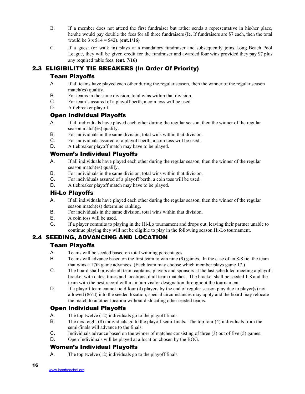- B. If a member does not attend the first fundraiser but rather sends a representative in his/her place, he/she would pay double the fees for all three fundraisers (Ie. If fundraisers are \$7 each, then the total would be 3 x \$14 = \$42). **(ent.1/16)**
- C. If a guest (or walk in) plays at a mandatory fundraiser and subsequently joins Long Beach Pool League, they will be given credit for the fundraiser and awarded four wins provided they pay \$7 plus any required table fees. **(ent. 7/16)**

# <span id="page-15-1"></span><span id="page-15-0"></span>2.3 ELIGIBILITY TIE BREAKERS (In Order Of Priority)

# Team Playoffs

- A. If all teams have played each other during the regular season, then the winner of the regular season match(es) qualify.
- B. For teams in the same division, total wins within that division.
- C. For team's assured of a playoff berth, a coin toss will be used.
- D. A tiebreaker playoff.

# <span id="page-15-2"></span>Open Individual Playoffs

- A. If all individuals have played each other during the regular season, then the winner of the regular season match(es) qualify.
- B. For individuals in the same division, total wins within that division.
- C. For individuals assured of a playoff berth, a coin toss will be used.
- D. A tiebreaker playoff match may have to be played.

# <span id="page-15-3"></span>Women's Individual Playoffs

- A. If all individuals have played each other during the regular season, then the winner of the regular season match(es) qualify.
- B. For individuals in the same division, total wins within that division.
- C. For individuals assured of a playoff berth, a coin toss will be used.
- D. A tiebreaker playoff match may have to be played.

# <span id="page-15-4"></span>Hi-Lo Playoffs

- A. If all individuals have played each other during the regular season, then the winner of the regular season match(es) determine ranking.
- B. For individuals in the same division, total wins within that division.
- E. A coin toss will be used.
- C. If a player commits to playing in the Hi-Lo tournament and drops out, leaving their partner unable to continue playing they will not be eligible to play in the following season Hi-Lo tournament.

# <span id="page-15-6"></span><span id="page-15-5"></span>2.4 SEEDING, ADVANCING AND LOCATION

# Team Playoffs

- A. Teams will be seeded based on total winning percentages.
- B. Teams will advance based on the first team to win nine (9) games. In the case of an 8-8 tie, the team that wins a 17th game advances. (Each team may choose which member plays game 17.)
- C. The board shall provide all team captains, players and sponsors at the last scheduled meeting a playoff bracket with dates, times and locations of all team matches. The bracket shall be seeded 1-8 and the team with the best record will maintain visitor designation throughout the tournament.
- D. If a playoff team cannot field four (4) players by the end of regular season play due to player(s) not allowed (86'd) into the seeded location, special circumstances may apply and the board may relocate the match to another location without dislocating other seeded teams.

# <span id="page-15-7"></span>Open Individual Playoffs

- A. The top twelve (12) individuals go to the playoff finals.
- B. The next eight (8) individuals go to the playoff semi-finals. The top four (4) individuals from the semi-finals will advance to the finals.
- C. Individuals advance based on the winner of matches consisting of three (3) out of five (5) games.
- D. Open Individuals will be played at a location chosen by the BOG.

# <span id="page-15-8"></span>Women's Individual Playoffs

A. The top twelve (12) individuals go to the playoff finals.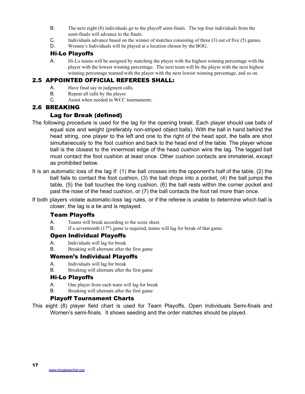- B. The next eight (8) individuals go to the playoff semi-finals. The top four individuals from the semi-finals will advance to the finals.
- C. Individuals advance based on the winner of matches consisting of three (3) out of five (5) games.
- D. Women's Individuals will be played at a location chosen by the BOG.

#### <span id="page-16-0"></span>Hi-Lo Playoffs

A. Hi-Lo teams will be assigned by matching the player with the highest winning percentage with the player with the lowest winning percentage. The next team will be the player with the next highest winning percentage teamed with the player with the next lowest winning percentage, and so on.

#### <span id="page-16-1"></span>2.5 APPOINTED OFFICIAL REFEREES SHALL:

- A. Have final say in judgment calls.
- B. Repeat all calls by the player.
- C. Assist when needed in WCC tournaments.

#### <span id="page-16-3"></span><span id="page-16-2"></span>2.6 BREAKING

# Lag for Break (defined)

- The following procedure is used for the lag for the opening break. Each player should use balls of equal size and weight (preferably non-striped object balls). With the ball in hand behind the head string, one player to the left and one to the right of the head spot, the balls are shot simultaneously to the foot cushion and back to the head end of the table. The player whose ball is the closest to the innermost edge of the head cushion wins the lag. The lagged ball must contact the foot cushion at least once. Other cushion contacts are immaterial, except as prohibited below.
- It is an automatic loss of the lag if: (1) the ball crosses into the opponent's half of the table, (2) the ball fails to contact the foot cushion, (3) the ball drops into a pocket, (4) the ball jumps the table, (5) the ball touches the long cushion, (6) the ball rests within the corner pocket and past the nose of the head cushion, or (7) the ball contacts the foot rail more than once.
- <span id="page-16-4"></span>If both players violate automatic-loss lag rules, or if the referee is unable to determine which ball is closer, the lag is a tie and is replayed.

# Team Playoffs

- A. Teams will break according to the score sheet.
- B. If a seventeenth  $(17<sup>th</sup>)$  game is required, teams will lag for break of that game.

#### <span id="page-16-5"></span>Open Individual Playoffs

- A. Individuals will lag for break
- B. Breaking will alternate after the first game

# <span id="page-16-6"></span>Women's Individual Playoffs

- A. Individuals will lag for break
- B. Breaking will alternate after the first game

#### <span id="page-16-7"></span>Hi-Lo Playoffs

- A. One player from each team will lag for break
- B. Breaking will alternate after the first game

# Playoff Tournament Charts

<span id="page-16-8"></span>This eight (8) player field chart is used for Team Playoffs, Open Individuals Semi-finals and Women's semi-finals. It shows seeding and the order matches should be played.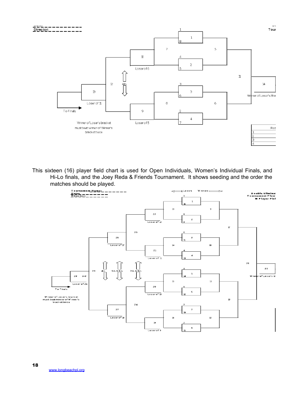

This sixteen (16) player field chart is used for Open Individuals, Women's Individual Finals, and Hi-Lo finals, and the Joey Reda & Friends Tournament. It shows seeding and the order the matches should be played.

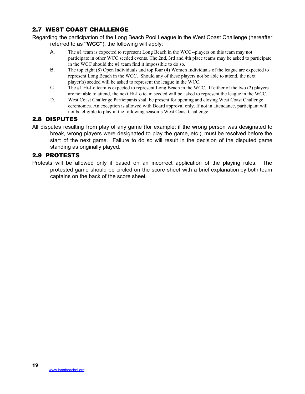# <span id="page-18-0"></span>2.7 WEST COAST CHALLENGE

Regarding the participation of the Long Beach Pool League in the West Coast Challenge (hereafter referred to as **"WCC"**), the following will apply:

- A. The #1 team is expected to represent Long Beach in the WCC--players on this team may not participate in other WCC seeded events. The 2nd, 3rd and 4th place teams may be asked to participate in the WCC should the #1 team find it impossible to do so.
- B. The top eight (8) Open Individuals and top four (4) Women Individuals of the league are expected to represent Long Beach in the WCC. Should any of these players not be able to attend, the next player(s) seeded will be asked to represent the league in the WCC.
- C. The #1 Hi-Lo team is expected to represent Long Beach in the WCC. If either of the two (2) players are not able to attend, the next Hi-Lo team seeded will be asked to represent the league in the WCC.
- D. West Coast Challenge Participants shall be present for opening and closing West Coast Challenge ceremonies. An exception is allowed with Board approval only. If not in attendance, participant will not be eligible to play in the following season's West Coast Challenge.

# <span id="page-18-1"></span>2.8 DISPUTES

All disputes resulting from play of any game (for example: if the wrong person was designated to break, wrong players were designated to play the game, etc.), must be resolved before the start of the next game. Failure to do so will result in the decision of the disputed game standing as originally played.

# <span id="page-18-2"></span>2.9 PROTESTS

Protests will be allowed only if based on an incorrect application of the playing rules. The protested game should be circled on the score sheet with a brief explanation by both team captains on the back of the score sheet.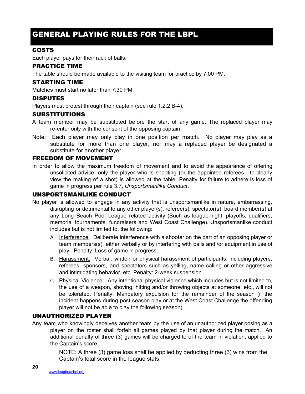# <span id="page-19-0"></span>GENERAL PLAYING RULES FOR THE LBPL

# <span id="page-19-1"></span>COSTS

Each player pays for their rack of balls.

# <span id="page-19-2"></span>PRACTICE TIME

The table should be made available to the visiting team for practice by 7:00 PM.

#### <span id="page-19-3"></span>STARTING TIME

Matches must start no later than 7:30 PM.

#### <span id="page-19-4"></span>DISPUTES

Players must protest through their captain (see rule 1.2.2 B-4).

#### <span id="page-19-5"></span>**SUBSTITUTIONS**

- A team member may be substituted before the start of any game. The replaced player may re-enter only with the consent of the opposing captain.
- Note: Each player may only play in one position per match. No player may play as a substitute for more than one player, nor may a replaced player be designated a substitute for another player.

#### <span id="page-19-6"></span>FREEDOM OF MOVEMENT

In order to allow the maximum freedom of movement and to avoid the appearance of offering unsolicited advice, only the player who is shooting (or the appointed referees - to clearly view the making of a shot) is allowed at the table. Penalty for failure to adhere is loss of game in progress per rule 3.7, *Unsportsmanlike Conduct*.

#### <span id="page-19-7"></span>UNSPORTSMANLIKE CONDUCT

- No player is allowed to engage in any activity that is unsportsmanlike in nature, embarrassing, disrupting or detrimental to any other player(s), referee(s), spectator(s), board member(s) at any Long Beach Pool League related activity (Such as league-night, playoffs, qualifiers, memorial tournaments, fundraisers and West Coast Challenge). Unsportsmanlike conduct includes but is not limited to, the following:
	- A. Interference: Deliberate interference with a shooter on the part of an opposing player or team members(s), either verbally or by interfering with balls and /or equipment in use of play. Penalty: Loss of game in progress.
	- B. Harassment: Verbal, written or physical harassment of participants, including players, referees, sponsors, and spectators such as yelling, name calling or other aggressive and intimidating behavior, etc. Penalty: 2-week suspension.
	- C. Physical Violence: Any intentional physical violence which includes but is not limited to, the use of a weapon, shoving, hitting and/or throwing objects at someone, etc., will not be tolerated. Penalty: Mandatory expulsion for the remainder of the season (if the incident happens during post season play or at the West Coast Challenge the offending player will not be able to play the following season).

# <span id="page-19-8"></span>UNAUTHORIZED PLAYER

Any team who knowingly deceives another team by the use of an unauthorized player posing as a player on the roster shall forfeit all games played by that player during the match. An additional penalty of three (3) games will be charged to of the team in violation, applied to the Captain's score.

> NOTE: A three (3) game loss shall be applied by deducting three (3) wins from the Captain's total score in the league stats.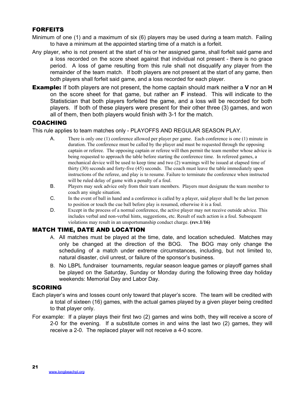# <span id="page-20-0"></span>FORFEITS

- Minimum of one (1) and a maximum of six (6) players may be used during a team match. Failing to have a minimum at the appointed starting time of a match is a forfeit.
- Any player, who is not present at the start of his or her assigned game, shall forfeit said game and a loss recorded on the score sheet against that individual not present - there is no grace period. A loss of game resulting from this rule shall not disqualify any player from the remainder of the team match. If both players are not present at the start of any game, then both players shall forfeit said game, and a loss recorded for each player.
- Example: If both players are not present, the home captain should mark neither a **V** nor an **H** on the score sheet for that game, but rather an **F** instead. This will indicate to the Statistician that both players forfeited the game, and a loss will be recorded for both players. If both of these players were present for their other three (3) games, and won all of them, then both players would finish with 3-1 for the match.

# <span id="page-20-1"></span>COACHING

#### This rule applies to team matches only - PLAYOFFS AND REGULAR SEASON PLAY.

- A. There is only one (1) conference allowed per player per game. Each conference is one (1) minute in duration. The conference must be called by the player and must be requested through the opposing captain or referee. The opposing captain or referee will then permit the team member whose advice is being requested to approach the table before starting the conference time. In refereed games, a mechanical device will be used to keep time and two (2) warnings will be issued at elapsed time of thirty (30) seconds and forty-five (45) seconds. The coach must leave the table immediately upon instructions of the referee, and play is to resume. Failure to terminate the conference when instructed will be ruled delay of game with a penalty of a foul.
- B. Players may seek advice only from their team members. Players must designate the team member to coach any single situation.
- C. In the event of ball in hand and a conference is called by a player, said player shall be the last person to position or touch the cue ball before play is resumed, otherwise it is a foul.
- D. Except in the process of a normal conference, the active player may not receive outside advice. This includes verbal and non-verbal hints, suggestions, etc. Result of such action is a foul. Subsequent violations may result in an unsportsmanship conduct charge. **(rev.1/16)**

#### <span id="page-20-2"></span>MATCH TIME, DATE AND LOCATION

- A. All matches must be played at the time, date, and location scheduled. Matches may only be changed at the direction of the BOG. The BOG may only change the scheduling of a match under extreme circumstances, including, but not limited to, natural disaster, civil unrest, or failure of the sponsor's business.
- B. No LBPL fundraiser tournaments, regular season league games or playoff games shall be played on the Saturday, Sunday or Monday during the following three day holiday weekends: Memorial Day and Labor Day.

#### <span id="page-20-3"></span>**SCORING**

- Each player's wins and losses count only toward that player's score. The team will be credited with a total of sixteen (16) games, with the actual games played by a given player being credited to that player only.
- For example: If a player plays their first two (2) games and wins both, they will receive a score of 2-0 for the evening. If a substitute comes in and wins the last two (2) games, they will receive a 2-0. The replaced player will not receive a 4-0 score.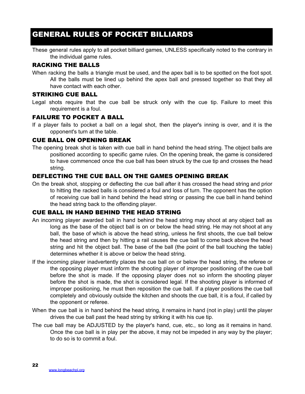# <span id="page-21-0"></span>GENERAL RULES OF POCKET BILLIARDS

These general rules apply to all pocket billiard games, UNLESS specifically noted to the contrary in the individual game rules.

#### <span id="page-21-1"></span>RACKING THE BALLS

When racking the balls a triangle must be used, and the apex ball is to be spotted on the foot spot. All the balls must be lined up behind the apex ball and pressed together so that they all have contact with each other.

#### <span id="page-21-2"></span>STRIKING CUE BALL

Legal shots require that the cue ball be struck only with the cue tip. Failure to meet this requirement is a foul.

# <span id="page-21-3"></span>FAILURE TO POCKET A BALL

If a player fails to pocket a ball on a legal shot, then the player's inning is over, and it is the opponent's turn at the table.

# <span id="page-21-4"></span>CUE BALL ON OPENING BREAK

The opening break shot is taken with cue ball in hand behind the head string. The object balls are positioned according to specific game rules. On the opening break, the game is considered to have commenced once the cue ball has been struck by the cue tip and crosses the head string.

# <span id="page-21-5"></span>DEFLECTING THE CUE BALL ON THE GAMES OPENING BREAK

On the break shot, stopping or deflecting the cue ball after it has crossed the head string and prior to hitting the racked balls is considered a foul and loss of turn. The opponent has the option of receiving cue ball in hand behind the head string or passing the cue ball in hand behind the head string back to the offending player.

# <span id="page-21-6"></span>CUE BALL IN HAND BEHIND THE HEAD STRING

- An incoming player awarded ball in hand behind the head string may shoot at any object ball as long as the base of the object ball is on or below the head string. He may not shoot at any ball, the base of which is above the head string, unless he first shoots, the cue ball below the head string and then by hitting a rail causes the cue ball to come back above the head string and hit the object ball. The base of the ball (the point of the ball touching the table) determines whether it is above or below the head string.
- If the incoming player inadvertently places the cue ball on or below the head string, the referee or the opposing player must inform the shooting player of improper positioning of the cue ball before the shot is made. If the opposing player does not so inform the shooting player before the shot is made, the shot is considered legal. If the shooting player is informed of improper positioning, he must then reposition the cue ball. If a player positions the cue ball completely and obviously outside the kitchen and shoots the cue ball, it is a foul, if called by the opponent or referee.
- When the cue ball is in hand behind the head string, it remains in hand (not in play) until the player drives the cue ball past the head string by striking it with his cue tip.
- The cue ball may be ADJUSTED by the player's hand, cue, etc., so long as it remains in hand. Once the cue ball is in play per the above, it may not be impeded in any way by the player; to do so is to commit a foul.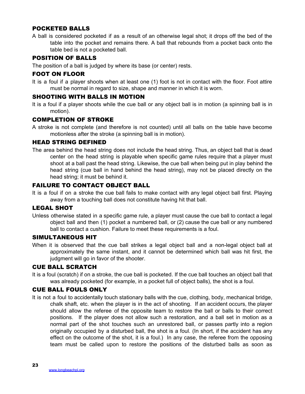#### <span id="page-22-0"></span>POCKETED BALLS

A ball is considered pocketed if as a result of an otherwise legal shot; it drops off the bed of the table into the pocket and remains there. A ball that rebounds from a pocket back onto the table bed is not a pocketed ball.

#### <span id="page-22-1"></span>POSITION OF BALLS

The position of a ball is judged by where its base (or center) rests.

#### <span id="page-22-2"></span>FOOT ON FLOOR

It is a foul if a player shoots when at least one (1) foot is not in contact with the floor. Foot attire must be normal in regard to size, shape and manner in which it is worn.

#### <span id="page-22-3"></span>SHOOTING WITH BALLS IN MOTION

It is a foul if a player shoots while the cue ball or any object ball is in motion (a spinning ball is in motion).

#### <span id="page-22-4"></span>COMPLETION OF STROKE

A stroke is not complete (and therefore is not counted) until all balls on the table have become motionless after the stroke (a spinning ball is in motion).

#### <span id="page-22-5"></span>HEAD STRING DEFINED

The area behind the head string does not include the head string. Thus, an object ball that is dead center on the head string is playable when specific game rules require that a player must shoot at a ball past the head string. Likewise, the cue ball when being put in play behind the head string (cue ball in hand behind the head string), may not be placed directly on the head string; it must be behind it.

#### <span id="page-22-6"></span>FAILURE TO CONTACT OBJECT BALL

It is a foul if on a stroke the cue ball fails to make contact with any legal object ball first. Playing away from a touching ball does not constitute having hit that ball.

#### <span id="page-22-7"></span>LEGAL SHOT

Unless otherwise stated in a specific game rule, a player must cause the cue ball to contact a legal object ball and then (1) pocket a numbered ball, or (2) cause the cue ball or any numbered ball to contact a cushion. Failure to meet these requirements is a foul.

#### <span id="page-22-8"></span>SIMULTANEOUS HIT

When it is observed that the cue ball strikes a legal object ball and a non-legal object ball at approximately the same instant, and it cannot be determined which ball was hit first, the judgment will go in favor of the shooter.

#### <span id="page-22-9"></span>CUE BALL SCRATCH

It is a foul (scratch) if on a stroke, the cue ball is pocketed. If the cue ball touches an object ball that was already pocketed (for example, in a pocket full of object balls), the shot is a foul.

#### <span id="page-22-10"></span>CUE BALL FOULS ONLY

It is not a foul to accidentally touch stationary balls with the cue, clothing, body, mechanical bridge, chalk shaft, etc. when the player is in the act of shooting. If an accident occurs, the player should allow the referee of the opposite team to restore the ball or balls to their correct positions. If the player does not allow such a restoration, and a ball set in motion as a normal part of the shot touches such an unrestored ball, or passes partly into a region originally occupied by a disturbed ball, the shot is a foul. (In short, if the accident has any effect on the outcome of the shot, it is a foul.) In any case, the referee from the opposing team must be called upon to restore the positions of the disturbed balls as soon as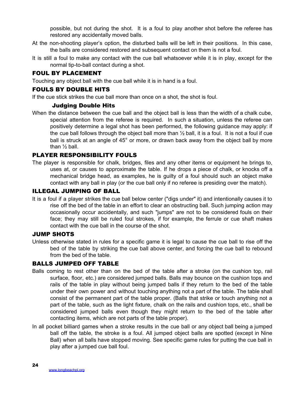possible, but not during the shot. It is a foul to play another shot before the referee has restored any accidentally moved balls.

- At the non-shooting player's option, the disturbed balls will be left in their positions. In this case, the balls are considered restored and subsequent contact on them is not a foul.
- It is still a foul to make any contact with the cue ball whatsoever while it is in play, except for the normal tip-to-ball contact during a shot.

# <span id="page-23-0"></span>FOUL BY PLACEMENT

Touching any object ball with the cue ball while it is in hand is a foul.

# <span id="page-23-1"></span>FOULS BY DOUBLE HITS

<span id="page-23-2"></span>If the cue stick strikes the cue ball more than once on a shot, the shot is foul.

#### Judging Double Hits

When the distance between the cue ball and the object ball is less than the width of a chalk cube, special attention from the referee is required. In such a situation, unless the referee can positively determine a legal shot has been performed, the following guidance may apply: if the cue ball follows through the object ball more than  $\frac{1}{2}$  ball, it is a foul. It is not a foul if cue ball is struck at an angle of 45° or more, or drawn back away from the object ball by more than ½ ball.

# <span id="page-23-3"></span>PLAYER RESPONSIBILITY FOULS

The player is responsible for chalk, bridges, files and any other items or equipment he brings to, uses at, or causes to approximate the table. If he drops a piece of chalk, or knocks off a mechanical bridge head, as examples, he is guilty of a foul should such an object make contact with any ball in play (or the cue ball only if no referee is presiding over the match).

# <span id="page-23-4"></span>ILLEGAL JUMPING OF BALL

It is a foul if a player strikes the cue ball below center ("digs under" it) and intentionally causes it to rise off the bed of the table in an effort to clear an obstructing ball. Such jumping action may occasionally occur accidentally, and such "jumps" are not to be considered fouls on their face; they may still be ruled foul strokes, if for example, the ferrule or cue shaft makes contact with the cue ball in the course of the shot.

# <span id="page-23-5"></span>JUMP SHOTS

Unless otherwise stated in rules for a specific game it is legal to cause the cue ball to rise off the bed of the table by striking the cue ball above center, and forcing the cue ball to rebound from the bed of the table.

# <span id="page-23-6"></span>BALLS JUMPED OFF TABLE

- Balls coming to rest other than on the bed of the table after a stroke (on the cushion top, rail surface, floor, etc.) are considered jumped balls. Balls may bounce on the cushion tops and rails of the table in play without being jumped balls if they return to the bed of the table under their own power and without touching anything not a part of the table. The table shall consist of the permanent part of the table proper. (Balls that strike or touch anything not a part of the table, such as the light fixture, chalk on the rails and cushion tops, etc., shall be considered jumped balls even though they might return to the bed of the table after contacting items, which are not parts of the table proper).
- In all pocket billiard games when a stroke results in the cue ball or any object ball being a jumped ball off the table, the stroke is a foul. All jumped object balls are spotted (except in Nine Ball) when all balls have stopped moving. See specific game rules for putting the cue ball in play after a jumped cue ball foul.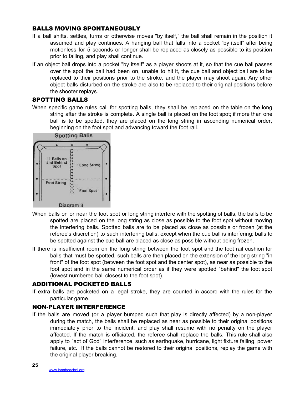#### <span id="page-24-0"></span>BALLS MOVING SPONTANEOUSLY

- If a ball shifts, settles, turns or otherwise moves "by itself," the ball shall remain in the position it assumed and play continues. A hanging ball that falls into a pocket "by itself" after being motionless for 5 seconds or longer shall be replaced as closely as possible to its position prior to falling, and play shall continue.
- If an object ball drops into a pocket "by itself" as a player shoots at it, so that the cue ball passes over the spot the ball had been on, unable to hit it, the cue ball and object ball are to be replaced to their positions prior to the stroke, and the player may shoot again. Any other object balls disturbed on the stroke are also to be replaced to their original positions before the shooter replays.

# <span id="page-24-1"></span>SPOTTING BALLS

When specific game rules call for spotting balls, they shall be replaced on the table on the long string after the stroke is complete. A single ball is placed on the foot spot; if more than one ball is to be spotted, they are placed on the long string in ascending numerical order, beginning on the foot spot and advancing toward the foot rail.



- When balls on or near the foot spot or long string interfere with the spotting of balls, the balls to be spotted are placed on the long string as close as possible to the foot spot without moving the interfering balls. Spotted balls are to be placed as close as possible or frozen (at the referee's discretion) to such interfering balls, except when the cue ball is interfering; balls to be spotted against the cue ball are placed as close as possible without being frozen.
- If there is insufficient room on the long string between the foot spot and the foot rail cushion for balls that must be spotted, such balls are then placed on the extension of the long string "in front" of the foot spot (between the foot spot and the center spot), as near as possible to the foot spot and in the same numerical order as if they were spotted "behind" the foot spot (lowest numbered ball closest to the foot spot).

#### <span id="page-24-2"></span>ADDITIONAL POCKETED BALLS

If extra balls are pocketed on a legal stroke, they are counted in accord with the rules for the particular game.

#### <span id="page-24-3"></span>NON-PLAYER INTERFERENCE

If the balls are moved (or a player bumped such that play is directly affected) by a non-player during the match, the balls shall be replaced as near as possible to their original positions immediately prior to the incident, and play shall resume with no penalty on the player affected. If the match is officiated, the referee shall replace the balls. This rule shall also apply to "act of God" interference, such as earthquake, hurricane, light fixture falling, power failure, etc. If the balls cannot be restored to their original positions, replay the game with the original player breaking.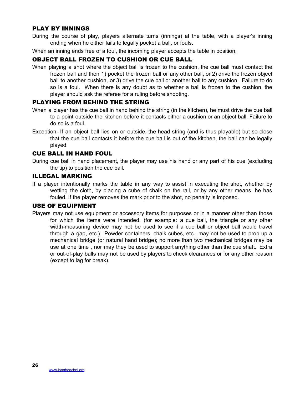# <span id="page-25-0"></span>PLAY BY INNINGS

During the course of play, players alternate turns (innings) at the table, with a player's inning ending when he either fails to legally pocket a ball, or fouls.

When an inning ends free of a foul, the incoming player accepts the table in position.

# <span id="page-25-1"></span>OBJECT BALL FROZEN TO CUSHION OR CUE BALL

When playing a shot where the object ball is frozen to the cushion, the cue ball must contact the frozen ball and then 1) pocket the frozen ball or any other ball, or 2) drive the frozen object ball to another cushion, or 3) drive the cue ball or another ball to any cushion. Failure to do so is a foul. When there is any doubt as to whether a ball is frozen to the cushion, the player should ask the referee for a ruling before shooting.

# <span id="page-25-2"></span>PLAYING FROM BEHIND THE STRING

- When a player has the cue ball in hand behind the string (in the kitchen), he must drive the cue ball to a point outside the kitchen before it contacts either a cushion or an object ball. Failure to do so is a foul.
- Exception: If an object ball lies on or outside, the head string (and is thus playable) but so close that the cue ball contacts it before the cue ball is out of the kitchen, the ball can be legally played.

# <span id="page-25-3"></span>CUE BALL IN HAND FOUL

During cue ball in hand placement, the player may use his hand or any part of his cue (excluding the tip) to position the cue ball.

# <span id="page-25-4"></span>ILLEGAL MARKING

If a player intentionally marks the table in any way to assist in executing the shot, whether by wetting the cloth, by placing a cube of chalk on the rail, or by any other means, he has fouled. If the player removes the mark prior to the shot, no penalty is imposed.

#### <span id="page-25-5"></span>USE OF EQUIPMENT

Players may not use equipment or accessory items for purposes or in a manner other than those for which the items were intended. (for example: a cue ball, the triangle or any other width-measuring device may not be used to see if a cue ball or object ball would travel through a gap, etc.) Powder containers, chalk cubes, etc., may not be used to prop up a mechanical bridge (or natural hand bridge); no more than two mechanical bridges may be use at one time , nor may they be used to support anything other than the cue shaft. Extra or out-of-play balls may not be used by players to check clearances or for any other reason (except to lag for break).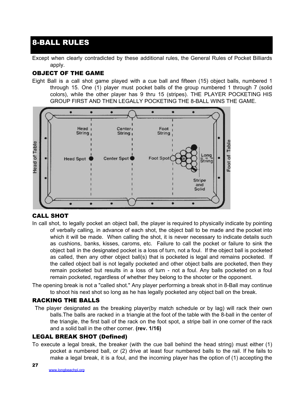# <span id="page-26-0"></span>8-BALL RULES

Except when clearly contradicted by these additional rules, the General Rules of Pocket Billiards apply.

#### <span id="page-26-1"></span>OBJECT OF THE GAME

Eight Ball is a call shot game played with a cue ball and fifteen (15) object balls, numbered 1 through 15. One (1) player must pocket balls of the group numbered 1 through 7 (solid colors), while the other player has 9 thru 15 (stripes). THE PLAYER POCKETING HIS GROUP FIRST AND THEN LEGALLY POCKETING THE 8-BALL WINS THE GAME.



# <span id="page-26-2"></span>CALL SHOT

- In call shot, to legally pocket an object ball, the player is required to physically indicate by pointing of verbally calling, in advance of each shot, the object ball to be made and the pocket into which it will be made. When calling the shot, it is never necessary to indicate details such as cushions, banks, kisses, caroms, etc. Failure to call the pocket or failure to sink the object ball in the designated pocket is a loss of turn, not a foul. If the object ball is pocketed as called, then any other object ball(s) that is pocketed is legal and remains pocketed. If the called object ball is not legally pocketed and other object balls are pocketed, then they remain pocketed but results in a loss of turn - not a foul. Any balls pocketed on a foul remain pocketed, regardless of whether they belong to the shooter or the opponent.
- The opening break is not a "called shot." Any player performing a break shot in 8-Ball may continue to shoot his next shot so long as he has legally pocketed any object ball on the break.

# <span id="page-26-3"></span>RACKING THE BALLS

The player designated as the breaking player(by match schedule or by lag) will rack their own balls.The balls are racked in a triangle at the foot of the table with the 8-ball in the center of the triangle, the first ball of the rack on the foot spot, a stripe ball in one corner of the rack and a solid ball in the other corner. **(rev. 1/16)**

# <span id="page-26-4"></span>LEGAL BREAK SHOT (Defined)

To execute a legal break, the breaker (with the cue ball behind the head string) must either (1) pocket a numbered ball, or (2) drive at least four numbered balls to the rail. If he fails to make a legal break, it is a foul, and the incoming player has the option of (1) accepting the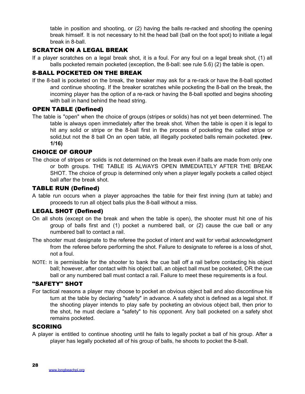table in position and shooting, or (2) having the balls re-racked and shooting the opening break himself. It is not necessary to hit the head ball (ball on the foot spot) to initiate a legal break in 8-ball.

# <span id="page-27-0"></span>SCRATCH ON A LEGAL BREAK

If a player scratches on a legal break shot, it is a foul. For any foul on a legal break shot, (1) all balls pocketed remain pocketed (exception, the 8-ball: see rule 5.6) (2) the table is open.

# <span id="page-27-1"></span>8-BALL POCKETED ON THE BREAK

If the 8-ball is pocketed on the break, the breaker may ask for a re-rack or have the 8-ball spotted and continue shooting. If the breaker scratches while pocketing the 8-ball on the break, the incoming player has the option of a re-rack or having the 8-ball spotted and begins shooting with ball in hand behind the head string.

# <span id="page-27-2"></span>OPEN TABLE (Defined)

The table is "open" when the choice of groups (stripes or solids) has not yet been determined. The table is always open immediately after the break shot. When the table is open it is legal to hit any solid or stripe or the 8-ball first in the process of pocketing the called stripe or solid,but not the 8 ball On an open table, all illegally pocketed balls remain pocketed. **(rev. 1/16)**

# <span id="page-27-3"></span>CHOICE OF GROUP

The choice of stripes or solids is not determined on the break even if balls are made from only one or both groups. THE TABLE IS ALWAYS OPEN IMMEDIATELY AFTER THE BREAK SHOT. The choice of group is determined only when a player legally pockets a called object ball after the break shot.

#### <span id="page-27-4"></span>TABLE RUN (Defined)

A table run occurs when a player approaches the table for their first inning (turn at table) and proceeds to run all object balls plus the 8-ball without a miss.

# <span id="page-27-5"></span>LEGAL SHOT (Defined)

- On all shots (except on the break and when the table is open), the shooter must hit one of his group of balls first and (1) pocket a numbered ball, or (2) cause the cue ball or any numbered ball to contact a rail.
- The shooter must designate to the referee the pocket of intent and wait for verbal acknowledgment from the referee before performing the shot. Failure to designate to referee is a loss of shot, not a foul.
- NOTE: It is permissible for the shooter to bank the cue ball off a rail before contacting his object ball; however, after contact with his object ball, an object ball must be pocketed, OR the cue ball or any numbered ball must contact a rail. Failure to meet these requirements is a foul.

#### <span id="page-27-6"></span>"SAFETY" SHOT

For tactical reasons a player may choose to pocket an obvious object ball and also discontinue his turn at the table by declaring "safety" in advance. A safety shot is defined as a legal shot. If the shooting player intends to play safe by pocketing an obvious object ball, then prior to the shot, he must declare a "safety" to his opponent. Any ball pocketed on a safety shot remains pocketed.

#### <span id="page-27-7"></span>**SCORING**

A player is entitled to continue shooting until he fails to legally pocket a ball of his group. After a player has legally pocketed all of his group of balls, he shoots to pocket the 8-ball.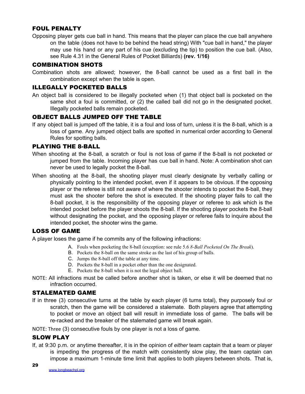# <span id="page-28-0"></span>FOUL PENALTY

Opposing player gets cue ball in hand. This means that the player can place the cue ball anywhere on the table (does not have to be behind the head string) With "cue ball in hand," the player may use his hand or any part of his cue (excluding the tip) to position the cue ball. (Also, see Rule 4.31 in the General Rules of Pocket Billiards) **(rev. 1/16)**

# <span id="page-28-1"></span>COMBINATION SHOTS

Combination shots are allowed; however, the 8-ball cannot be used as a first ball in the combination except when the table is open.

# <span id="page-28-2"></span>ILLEGALLY POCKETED BALLS

An object ball is considered to be illegally pocketed when (1) that object ball is pocketed on the same shot a foul is committed, or (2) the called ball did not go in the designated pocket. Illegally pocketed balls remain pocketed.

# <span id="page-28-3"></span>OBJECT BALLS JUMPED OFF THE TABLE

If any object ball is jumped off the table, it is a foul and loss of turn, unless it is the 8-ball, which is a loss of game. Any jumped object balls are spotted in numerical order according to General Rules for spotting balls.

# <span id="page-28-4"></span>PLAYING THE 8-BALL

- When shooting at the 8-ball, a scratch or foul is not loss of game if the 8-ball is not pocketed or jumped from the table. Incoming player has cue ball in hand. Note: A combination shot can never be used to legally pocket the 8-ball.
- When shooting at the 8-ball, the shooting player must clearly designate by verbally calling or physically pointing to the intended pocket, even if it appears to be obvious. If the opposing player or the referee is still not aware of where the shooter intends to pocket the 8-ball, they must ask the shooter before the shot is executed. If the shooting player fails to call the 8-ball pocket, it is the responsibility of the opposing player or referee to ask which is the intended pocket before the player shoots the 8-ball. If the shooting player pockets the 8-ball without designating the pocket, and the opposing player or referee fails to inquire about the intended pocket, the shooter wins the game.

# <span id="page-28-5"></span>LOSS OF GAME

A player loses the game if he commits any of the following infractions:

- A. Fouls when pocketing the 8-ball (exception: see rule 5.6 *8-Ball Pocketed On The Break*).
- B. Pockets the 8-ball on the same stroke as the last of his group of balls.
- C. Jumps the 8-ball off the table at any time.
- D. Pockets the 8-ball in a pocket other than the one designated.
- E. Pockets the 8-ball when it is not the legal object ball.
- NOTE: All infractions must be called before another shot is taken, or else it will be deemed that no infraction occurred.

# <span id="page-28-6"></span>STALEMATED GAME

If in three (3) consecutive turns at the table by each player (6 turns total), they purposely foul or scratch, then the game will be considered a stalemate. Both players agree that attempting to pocket or move an object ball will result in immediate loss of game. The balls will be re-racked and the breaker of the stalemated game will break again.

NOTE: Three (3) consecutive fouls by one player is not a loss of game.

# <span id="page-28-7"></span>SLOW PLAY

If, at 9:30 p.m. or anytime thereafter, it is in the opinion of *either* team captain that a team or player is impeding the progress of the match with consistently slow play, the team captain can impose a maximum 1-minute time limit that applies to both players between shots. That is,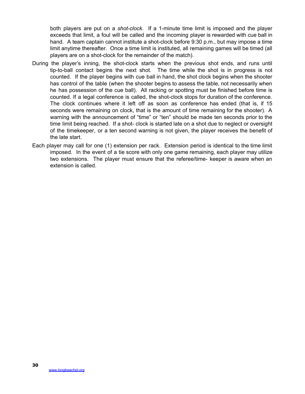both players are put on a *shot-clock*. If a 1-minute time limit is imposed and the player exceeds that limit, a foul will be called and the incoming player is rewarded with cue ball in hand. A team captain cannot institute a shot-clock before 9:30 p.m., but may impose a time limit anytime thereafter. Once a time limit is instituted, all remaining games will be timed (all players are on a shot-clock for the remainder of the match).

- During the player's inning, the shot-clock starts when the previous shot ends, and runs until tip-to-ball contact begins the next shot. The time while the shot is in progress is not counted. If the player begins with cue ball in hand, the shot clock begins when the shooter has control of the table (when the shooter begins to assess the table, not necessarily when he has possession of the cue ball). All racking or spotting must be finished before time is counted. If a legal conference is called, the shot-clock stops for duration of the conference. The clock continues where it left off as soon as conference has ended (that is, if 15 seconds were remaining on clock, that is the amount of time remaining for the shooter). A warning with the announcement of "time" or "ten" should be made ten seconds prior to the time limit being reached. If a shot- clock is started late on a shot due to neglect or oversight of the timekeeper, or a ten second warning is not given, the player receives the benefit of the late start.
- Each player may call for one (1) extension per rack. Extension period is identical to the time limit imposed. In the event of a tie score with only one game remaining, each player may utilize two extensions. The player must ensure that the referee/time- keeper is aware when an extension is called.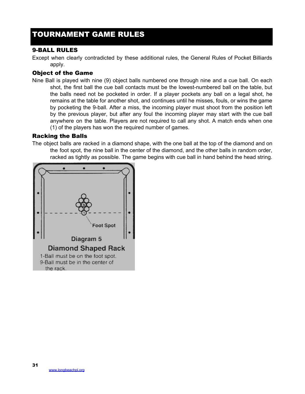# <span id="page-30-0"></span>TOURNAMENT GAME RULES

# <span id="page-30-1"></span>9-BALL RULES

Except when clearly contradicted by these additional rules, the General Rules of Pocket Billiards apply.

# <span id="page-30-2"></span>Object of the Game

Nine Ball is played with nine (9) object balls numbered one through nine and a cue ball. On each shot, the first ball the cue ball contacts must be the lowest-numbered ball on the table, but the balls need not be pocketed in order. If a player pockets any ball on a legal shot, he remains at the table for another shot, and continues until he misses, fouls, or wins the game by pocketing the 9-ball. After a miss, the incoming player must shoot from the position left by the previous player, but after any foul the incoming player may start with the cue ball anywhere on the table. Players are not required to call any shot. A match ends when one (1) of the players has won the required number of games.

# <span id="page-30-3"></span>Racking the Balls

The object balls are racked in a diamond shape, with the one ball at the top of the diamond and on the foot spot, the nine ball in the center of the diamond, and the other balls in random order, racked as tightly as possible. The game begins with cue ball in hand behind the head string.

<span id="page-30-4"></span>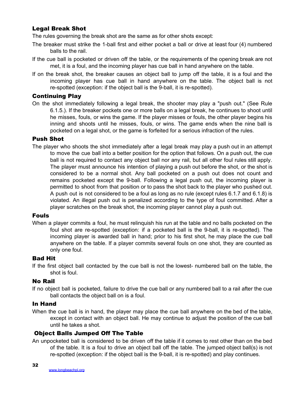# Legal Break Shot

The rules governing the break shot are the same as for other shots except:

- The breaker must strike the 1-ball first and either pocket a ball or drive at least four (4) numbered balls to the rail.
- If the cue ball is pocketed or driven off the table, or the requirements of the opening break are not met, it is a foul, and the incoming player has cue ball in hand anywhere on the table.
- If on the break shot, the breaker causes an object ball to jump off the table, it is a foul and the incoming player has cue ball in hand anywhere on the table. The object ball is not re-spotted (exception: if the object ball is the 9-ball, it is re-spotted).

#### <span id="page-31-0"></span>Continuing Play

On the shot immediately following a legal break, the shooter may play a "push out." (See Rule 6.1.5.). If the breaker pockets one or more balls on a legal break, he continues to shoot until he misses, fouls, or wins the game. If the player misses or fouls, the other player begins his inning and shoots until he misses, fouls, or wins. The game ends when the nine ball is pocketed on a legal shot, or the game is forfeited for a serious infraction of the rules.

#### <span id="page-31-1"></span>Push Shot

The player who shoots the shot immediately after a legal break may play a push out in an attempt to move the cue ball into a better position for the option that follows. On a push out, the cue ball is not required to contact any object ball nor any rail, but all other foul rules still apply. The player must announce his intention of playing a push out before the shot, or the shot is considered to be a normal shot. Any ball pocketed on a push out does not count and remains pocketed except the 9-ball. Following a legal push out, the incoming player is permitted to shoot from that position or to pass the shot back to the player who pushed out. A push out is not considered to be a foul as long as no rule (except rules 6.1.7 and 6.1.8) is violated. An illegal push out is penalized according to the type of foul committed. After a player scratches on the break shot, the incoming player cannot play a push out.

#### <span id="page-31-2"></span>Fouls

When a player commits a foul, he must relinquish his run at the table and no balls pocketed on the foul shot are re-spotted (exception: if a pocketed ball is the 9-ball, it is re-spotted). The incoming player is awarded ball in hand; prior to his first shot, he may place the cue ball anywhere on the table. If a player commits several fouls on one shot, they are counted as only one foul.

#### <span id="page-31-3"></span>Bad Hit

If the first object ball contacted by the cue ball is not the lowest- numbered ball on the table, the shot is foul.

# <span id="page-31-4"></span>No Rail

If no object ball is pocketed, failure to drive the cue ball or any numbered ball to a rail after the cue ball contacts the object ball on is a foul.

#### <span id="page-31-5"></span>In Hand

When the cue ball is in hand, the player may place the cue ball anywhere on the bed of the table, except in contact with an object ball. He may continue to adjust the position of the cue ball until he takes a shot.

# <span id="page-31-6"></span>Object Balls Jumped Off The Table

An unpocketed ball is considered to be driven off the table if it comes to rest other than on the bed of the table. It is a foul to drive an object ball off the table. The jumped object ball(s) is not re-spotted (exception: if the object ball is the 9-ball, it is re-spotted) and play continues.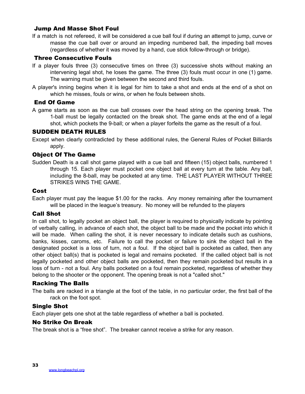#### <span id="page-32-0"></span>Jump And Masse Shot Foul

If a match is not refereed, it will be considered a cue ball foul if during an attempt to jump, curve or masse the cue ball over or around an impeding numbered ball, the impeding ball moves (regardless of whether it was moved by a hand, cue stick follow-through or bridge).

#### <span id="page-32-1"></span>Three Consecutive Fouls

- If a player fouls three (3) consecutive times on three (3) successive shots without making an intervening legal shot, he loses the game. The three (3) fouls must occur in one (1) game. The warning must be given between the second and third fouls.
- A player's inning begins when it is legal for him to take a shot and ends at the end of a shot on which he misses, fouls or wins, or when he fouls between shots.

#### <span id="page-32-2"></span>End Of Game

A game starts as soon as the cue ball crosses over the head string on the opening break. The 1-ball must be legally contacted on the break shot. The game ends at the end of a legal shot, which pockets the 9-ball; or when a player forfeits the game as the result of a foul.

# <span id="page-32-3"></span>SUDDEN DEATH RULES

Except when clearly contradicted by these additional rules, the General Rules of Pocket Billiards apply.

#### <span id="page-32-4"></span>Object Of The Game

Sudden Death is a call shot game played with a cue ball and fifteen (15) object balls, numbered 1 through 15. Each player must pocket one object ball at every turn at the table. Any ball, including the 8-ball, may be pocketed at any time. THE LAST PLAYER WITHOUT THREE STRIKES WINS THE GAME.

#### <span id="page-32-5"></span>Cost

Each player must pay the league \$1.00 for the racks. Any money remaining after the tournament will be placed in the league's treasury. No money will be refunded to the players

#### <span id="page-32-6"></span>Call Shot

In call shot, to legally pocket an object ball, the player is required to physically indicate by pointing of verbally calling, in advance of each shot, the object ball to be made and the pocket into which it will be made. When calling the shot, it is never necessary to indicate details such as cushions, banks, kisses, caroms, etc. Failure to call the pocket or failure to sink the object ball in the designated pocket is a loss of turn, not a foul. If the object ball is pocketed as called, then any other object ball(s) that is pocketed is legal and remains pocketed. If the called object ball is not legally pocketed and other object balls are pocketed, then they remain pocketed but results in a loss of turn - not a foul. Any balls pocketed on a foul remain pocketed, regardless of whether they belong to the shooter or the opponent. The opening break is not a "called shot."

#### <span id="page-32-7"></span>Racking The Balls

The balls are racked in a triangle at the foot of the table, in no particular order, the first ball of the rack on the foot spot.

#### <span id="page-32-8"></span>Single Shot

33

Each player gets one shot at the table regardless of whether a ball is pocketed.

#### <span id="page-32-9"></span>No Strike On Break

The break shot is a "free shot". The breaker cannot receive a strike for any reason.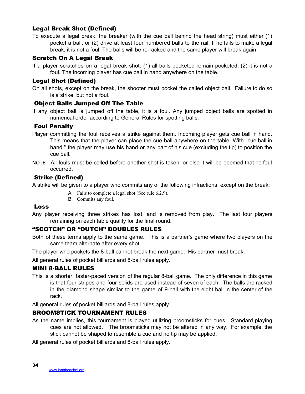# <span id="page-33-0"></span>Legal Break Shot (Defined)

To execute a legal break, the breaker (with the cue ball behind the head string) must either (1) pocket a ball, or (2) drive at least four numbered balls to the rail. If he fails to make a legal break, it is not a foul. The balls will be re-racked and the same player will break again.

#### <span id="page-33-1"></span>Scratch On A Legal Break

If a player scratches on a legal break shot, (1) all balls pocketed remain pocketed, (2) it is not a foul. The incoming player has cue ball in hand anywhere on the table.

#### <span id="page-33-2"></span>Legal Shot (Defined)

On all shots, except on the break, the shooter must pocket the called object ball. Failure to do so is a strike, but not a foul.

#### <span id="page-33-3"></span>Object Balls Jumped Off The Table

If any object ball is jumped off the table, it is a foul. Any jumped object balls are spotted in numerical order according to General Rules for spotting balls.

#### <span id="page-33-4"></span>Foul Penalty

- Player committing the foul receives a strike against them. Incoming player gets cue ball in hand. This means that the player can place the cue ball anywhere on the table. With "cue ball in hand," the player may use his hand or any part of his cue (excluding the tip) to position the cue ball.
- NOTE: All fouls must be called before another shot is taken, or else it will be deemed that no foul occurred.

#### <span id="page-33-5"></span>Strike (Defined)

A strike will be given to a player who commits any of the following infractions, except on the break:

- A. Fails to complete a legal shot (See rule 6.2.9).
- B. Commits any foul.

#### <span id="page-33-6"></span>Loss

Any player receiving three strikes has lost, and is removed from play. The last four players remaining on each table qualify for the final round.

# <span id="page-33-7"></span>"SCOTCH" OR "DUTCH" DOUBLES RULES

Both of these terms apply to the same game. This is a partner's game where two players on the same team alternate after every shot.

The player who pockets the 8-ball cannot break the next game. His partner must break.

All general rules of pocket billiards and 8-ball rules apply.

#### <span id="page-33-8"></span>MINI 8-BALL RULES

This is a shorter, faster-paced version of the regular 8-ball game. The only difference in this game is that four stripes and four solids are used instead of seven of each. The balls are racked in the diamond shape similar to the game of 9-ball with the eight ball in the center of the rack.

All general rules of pocket billiards and 8-ball rules apply.

# <span id="page-33-9"></span>BROOMSTICK TOURNAMENT RULES

As the name implies, this tournament is played utilizing broomsticks for cues. Standard playing cues are not allowed. The broomsticks may not be altered in any way. For example, the stick cannot be shaped to resemble a cue and no tip may be applied.

All general rules of pocket billiards and 8-ball rules apply.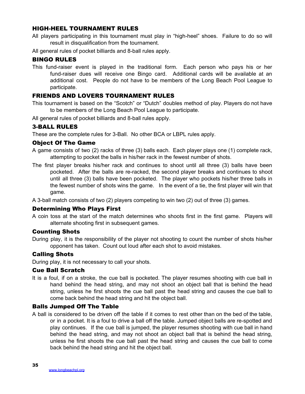# <span id="page-34-0"></span>HIGH-HEEL TOURNAMENT RULES

All players participating in this tournament must play in "high-heel" shoes. Failure to do so will result in disqualification from the tournament.

All general rules of pocket billiards and 8-ball rules apply.

#### <span id="page-34-1"></span>BINGO RULES

This fund-raiser event is played in the traditional form. Each person who pays his or her fund-raiser dues will receive one Bingo card. Additional cards will be available at an additional cost. People do not have to be members of the Long Beach Pool League to participate.

#### <span id="page-34-2"></span>FRIENDS AND LOVERS TOURNAMENT RULES

This tournament is based on the "Scotch" or "Dutch" doubles method of play. Players do not have to be members of the Long Beach Pool League to participate.

All general rules of pocket billiards and 8-ball rules apply.

# <span id="page-34-3"></span>3-BALL RULES

These are the complete rules for 3-Ball. No other BCA or LBPL rules apply.

#### <span id="page-34-4"></span>Object Of The Game

- A game consists of two (2) racks of three (3) balls each. Each player plays one (1) complete rack, attempting to pocket the balls in his/her rack in the fewest number of shots.
- The first player breaks his/her rack and continues to shoot until all three (3) balls have been pocketed. After the balls are re-racked, the second player breaks and continues to shoot until all three (3) balls have been pocketed. The player who pockets his/her three balls in the fewest number of shots wins the game. In the event of a tie, the first player will win that game.

A 3-ball match consists of two (2) players competing to win two (2) out of three (3) games.

#### <span id="page-34-5"></span>Determining Who Plays First

A coin toss at the start of the match determines who shoots first in the first game. Players will alternate shooting first in subsequent games.

#### <span id="page-34-6"></span>Counting Shots

During play, it is the responsibility of the player not shooting to count the number of shots his/her opponent has taken. Count out loud after each shot to avoid mistakes.

#### <span id="page-34-7"></span>Calling Shots

During play, it is not necessary to call your shots.

#### <span id="page-34-8"></span>Cue Ball Scratch

It is a foul, if on a stroke, the cue ball is pocketed. The player resumes shooting with cue ball in hand behind the head string, and may not shoot an object ball that is behind the head string, unless he first shoots the cue ball past the head string and causes the cue ball to come back behind the head string and hit the object ball.

#### <span id="page-34-9"></span>Balls Jumped Off The Table

A ball is considered to be driven off the table if it comes to rest other than on the bed of the table, or in a pocket. It is a foul to drive a ball off the table. Jumped object balls are re-spotted and play continues. If the cue ball is jumped, the player resumes shooting with cue ball in hand behind the head string, and may not shoot an object ball that is behind the head string, unless he first shoots the cue ball past the head string and causes the cue ball to come back behind the head string and hit the object ball.